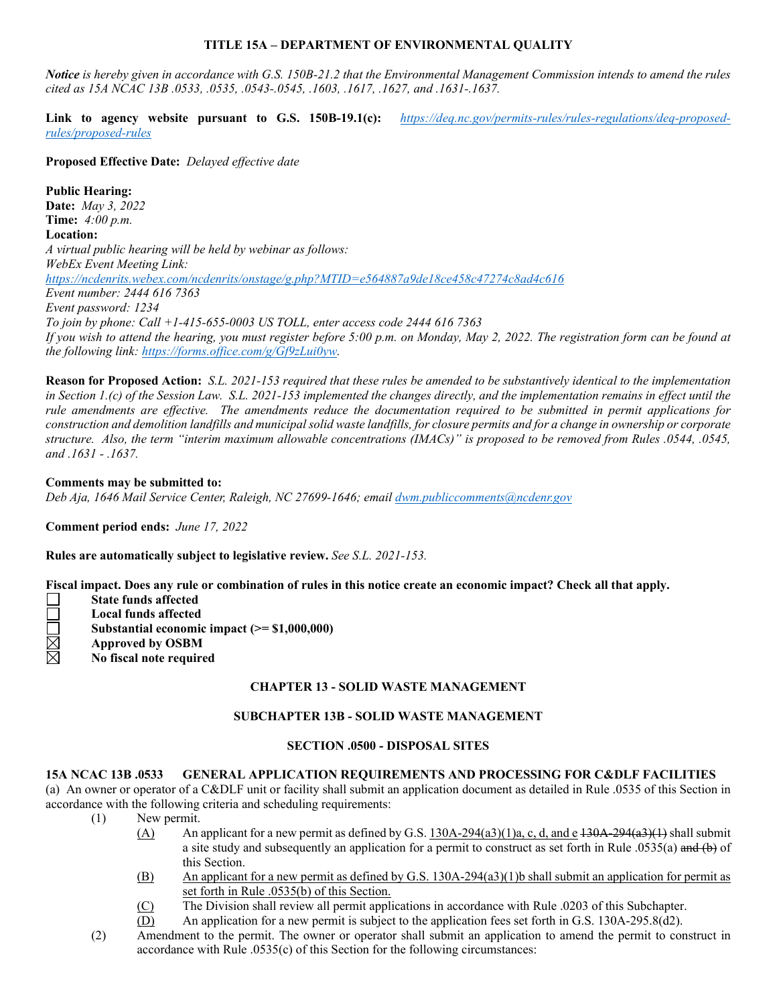### **TITLE 15A – DEPARTMENT OF ENVIRONMENTAL QUALITY**

*Notice is hereby given in accordance with G.S. 150B-21.2 that the Environmental Management Commission intends to amend the rules cited as 15A NCAC 13B .0533, .0535, .0543-.0545, .1603, .1617, .1627, and .1631-.1637.* 

Link to agency website pursuant to G.S. 150B-19.1(c): https://deg.nc.gov/permits-rules/rules-regulations/deq-proposed*[rules/proposed-rules](https://deq.nc.gov/permits-rules/rules-regulations/deq-proposed-rules/proposed-rules)*

**Proposed Effective Date:** *Delayed effective date*

**Public Hearing: Date:** *May 3, 2022* **Time:** *4:00 p.m.* **Location:** *A virtual public hearing will be held by webinar as follows: WebEx Event Meeting Link: <https://ncdenrits.webex.com/ncdenrits/onstage/g.php?MTID=e564887a9de18ce458c47274c8ad4c616> Event number: 2444 616 7363 Event password: 1234 To join by phone: Call +1-415-655-0003 US TOLL, enter access code 2444 616 7363 If you wish to attend the hearing, you must register before 5:00 p.m. on Monday, May 2, 2022. The registration form can be found at the following link: [https://forms.office.com/g/Gf9zLui0yw.](https://forms.office.com/g/Gf9zLui0yw)* 

**Reason for Proposed Action:** *S.L. 2021-153 required that these rules be amended to be substantively identical to the implementation in Section 1.(c) of the Session Law. S.L. 2021-153 implemented the changes directly, and the implementation remains in effect until the rule amendments are effective. The amendments reduce the documentation required to be submitted in permit applications for construction and demolition landfills and municipal solid waste landfills, for closure permits and for a change in ownership or corporate structure. Also, the term "interim maximum allowable concentrations (IMACs)" is proposed to be removed from Rules .0544, .0545, and .1631 - .1637.*

### **Comments may be submitted to:**

*Deb Aja, 1646 Mail Service Center, Raleigh, NC 27699-1646; emai[l dwm.publiccomments@ncdenr.gov](mailto:dwm.publiccomments@ncdenr.gov)*

**Comment period ends:** *June 17, 2022*

**Rules are automatically subject to legislative review.** *See S.L. 2021-153.*

**Fiscal impact. Does any rule or combination of rules in this notice create an economic impact? Check all that apply.**

- **State funds affected**
- **Local funds affected**
- **Substantial economic impact (>= \$1,000,000)**
- <u>M</u> **Approved by OSBM**
- **No fiscal note required**

# **CHAPTER 13 - SOLID WASTE MANAGEMENT**

### **SUBCHAPTER 13B - SOLID WASTE MANAGEMENT**

### **SECTION .0500 - DISPOSAL SITES**

### **15A NCAC 13B .0533 GENERAL APPLICATION REQUIREMENTS AND PROCESSING FOR C&DLF FACILITIES**

(a) An owner or operator of a C&DLF unit or facility shall submit an application document as detailed in Rule .0535 of this Section in accordance with the following criteria and scheduling requirements:

- (1) New permit.
	- (A) An applicant for a new permit as defined by G.S. 130A-294(a3)(1)a, c, d, and e  $\frac{130A-294(a3)(1)}{120A-294(a3)(1)}$  shall submit a site study and subsequently an application for a permit to construct as set forth in Rule .0535(a) and (b) of this Section.
	- (B) An applicant for a new permit as defined by G.S. 130A-294(a3)(1)b shall submit an application for permit as set forth in Rule .0535(b) of this Section.
	- (C) The Division shall review all permit applications in accordance with Rule .0203 of this Subchapter.
	- (D) An application for a new permit is subject to the application fees set forth in G.S. 130A-295.8(d2).
- (2) Amendment to the permit. The owner or operator shall submit an application to amend the permit to construct in accordance with Rule .0535(c) of this Section for the following circumstances: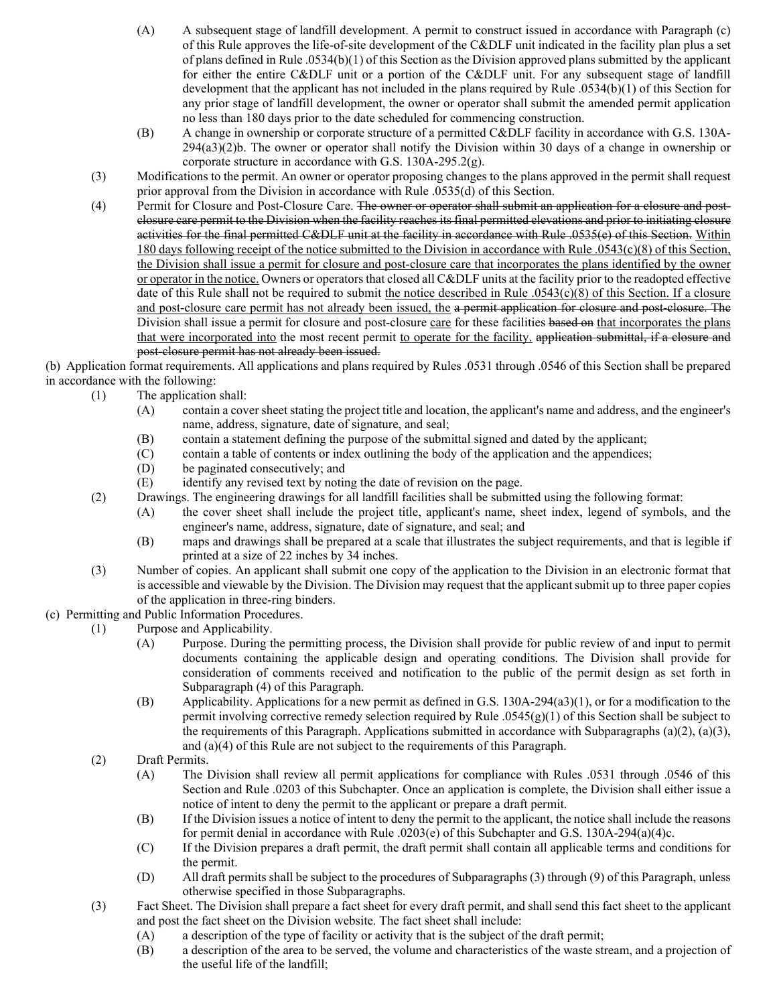- (A) A subsequent stage of landfill development. A permit to construct issued in accordance with Paragraph (c) of this Rule approves the life-of-site development of the C&DLF unit indicated in the facility plan plus a set of plans defined in Rule .0534(b)(1) of this Section as the Division approved plans submitted by the applicant for either the entire C&DLF unit or a portion of the C&DLF unit. For any subsequent stage of landfill development that the applicant has not included in the plans required by Rule .0534(b)(1) of this Section for any prior stage of landfill development, the owner or operator shall submit the amended permit application no less than 180 days prior to the date scheduled for commencing construction.
- (B) A change in ownership or corporate structure of a permitted C&DLF facility in accordance with G.S. 130A-294(a3)(2)b. The owner or operator shall notify the Division within 30 days of a change in ownership or corporate structure in accordance with G.S. 130A-295.2(g).
- (3) Modifications to the permit. An owner or operator proposing changes to the plans approved in the permit shall request prior approval from the Division in accordance with Rule .0535(d) of this Section.
- (4) Permit for Closure and Post-Closure Care. The owner or operator shall submit an application for a closure and postclosure care permit to the Division when the facility reaches its final permitted elevations and prior to initiating closure activities for the final permitted C&DLF unit at the facility in accordance with Rule .0535(e) of this Section. Within 180 days following receipt of the notice submitted to the Division in accordance with Rule .0543(c)(8) of this Section, the Division shall issue a permit for closure and post-closure care that incorporates the plans identified by the owner or operator in the notice. Owners or operators that closed all C&DLF units at the facility prior to the readopted effective date of this Rule shall not be required to submit the notice described in Rule .0543(c)(8) of this Section. If a closure and post-closure care permit has not already been issued, the a permit application for closure and post-closure. The Division shall issue a permit for closure and post-closure care for these facilities based on that incorporates the plans that were incorporated into the most recent permit to operate for the facility. application submittal, if a closure and post-closure permit has not already been issued.

(b) Application format requirements. All applications and plans required by Rules .0531 through .0546 of this Section shall be prepared in accordance with the following:

- (1) The application shall:
	- (A) contain a cover sheet stating the project title and location, the applicant's name and address, and the engineer's name, address, signature, date of signature, and seal;
	- (B) contain a statement defining the purpose of the submittal signed and dated by the applicant;
	- (C) contain a table of contents or index outlining the body of the application and the appendices;<br>(D) be paginated consecutively; and
	- be paginated consecutively; and
	- (E) identify any revised text by noting the date of revision on the page.
- (2) Drawings. The engineering drawings for all landfill facilities shall be submitted using the following format:
	- (A) the cover sheet shall include the project title, applicant's name, sheet index, legend of symbols, and the engineer's name, address, signature, date of signature, and seal; and
		- (B) maps and drawings shall be prepared at a scale that illustrates the subject requirements, and that is legible if printed at a size of 22 inches by 34 inches.
- (3) Number of copies. An applicant shall submit one copy of the application to the Division in an electronic format that is accessible and viewable by the Division. The Division may request that the applicant submit up to three paper copies of the application in three-ring binders.
- (c) Permitting and Public Information Procedures.
	- (1) Purpose and Applicability.
		- (A) Purpose. During the permitting process, the Division shall provide for public review of and input to permit documents containing the applicable design and operating conditions. The Division shall provide for consideration of comments received and notification to the public of the permit design as set forth in Subparagraph (4) of this Paragraph.
		- (B) Applicability. Applications for a new permit as defined in G.S. 130A-294(a3)(1), or for a modification to the permit involving corrective remedy selection required by Rule .0545(g)(1) of this Section shall be subject to the requirements of this Paragraph. Applications submitted in accordance with Subparagraphs (a)(2), (a)(3), and (a)(4) of this Rule are not subject to the requirements of this Paragraph.
	- (2) Draft Permits.
		- (A) The Division shall review all permit applications for compliance with Rules .0531 through .0546 of this Section and Rule .0203 of this Subchapter. Once an application is complete, the Division shall either issue a notice of intent to deny the permit to the applicant or prepare a draft permit.
		- (B) If the Division issues a notice of intent to deny the permit to the applicant, the notice shall include the reasons for permit denial in accordance with Rule .0203(e) of this Subchapter and G.S. 130A-294(a)(4)c.
		- (C) If the Division prepares a draft permit, the draft permit shall contain all applicable terms and conditions for the permit.
		- (D) All draft permits shall be subject to the procedures of Subparagraphs (3) through (9) of this Paragraph, unless otherwise specified in those Subparagraphs.
	- (3) Fact Sheet. The Division shall prepare a fact sheet for every draft permit, and shall send this fact sheet to the applicant and post the fact sheet on the Division website. The fact sheet shall include:
		- (A) a description of the type of facility or activity that is the subject of the draft permit;
		- (B) a description of the area to be served, the volume and characteristics of the waste stream, and a projection of the useful life of the landfill;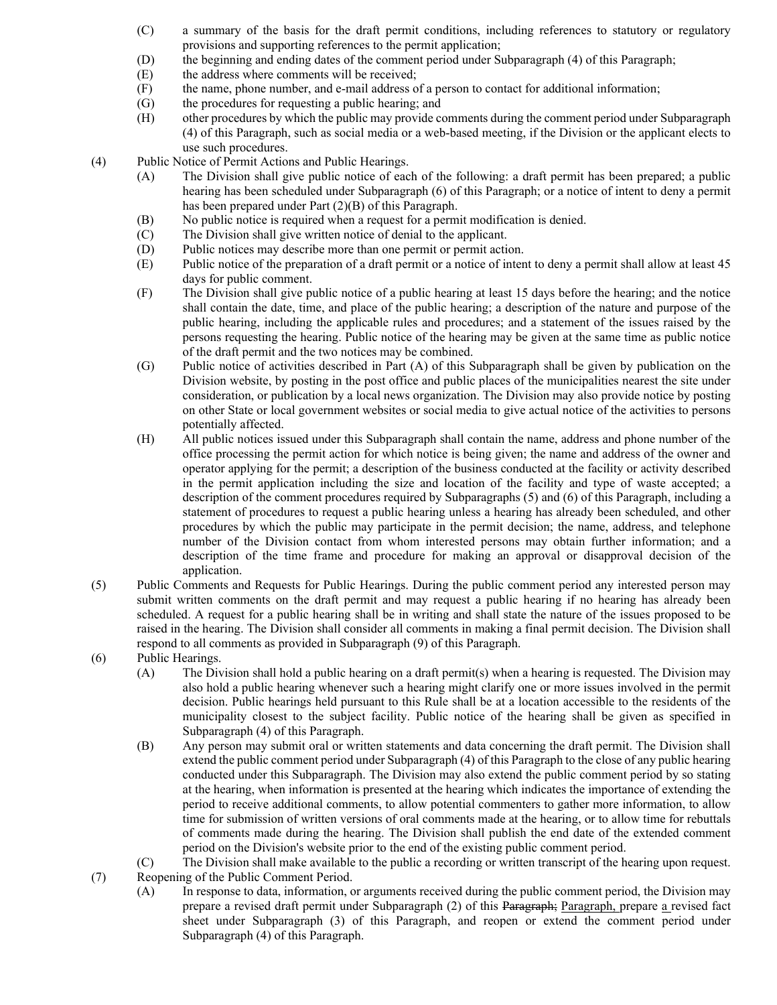- (C) a summary of the basis for the draft permit conditions, including references to statutory or regulatory provisions and supporting references to the permit application;
- (D) the beginning and ending dates of the comment period under Subparagraph (4) of this Paragraph;
- (E) the address where comments will be received;
- (F) the name, phone number, and e-mail address of a person to contact for additional information;
- (G) the procedures for requesting a public hearing; and
- (H) other procedures by which the public may provide comments during the comment period under Subparagraph (4) of this Paragraph, such as social media or a web-based meeting, if the Division or the applicant elects to use such procedures.
- (4) Public Notice of Permit Actions and Public Hearings.
	- (A) The Division shall give public notice of each of the following: a draft permit has been prepared; a public hearing has been scheduled under Subparagraph (6) of this Paragraph; or a notice of intent to deny a permit has been prepared under Part (2)(B) of this Paragraph.
	- (B) No public notice is required when a request for a permit modification is denied.
	- (C) The Division shall give written notice of denial to the applicant.
	- (D) Public notices may describe more than one permit or permit action.
	- (E) Public notice of the preparation of a draft permit or a notice of intent to deny a permit shall allow at least 45 days for public comment.
	- (F) The Division shall give public notice of a public hearing at least 15 days before the hearing; and the notice shall contain the date, time, and place of the public hearing; a description of the nature and purpose of the public hearing, including the applicable rules and procedures; and a statement of the issues raised by the persons requesting the hearing. Public notice of the hearing may be given at the same time as public notice of the draft permit and the two notices may be combined.
	- (G) Public notice of activities described in Part (A) of this Subparagraph shall be given by publication on the Division website, by posting in the post office and public places of the municipalities nearest the site under consideration, or publication by a local news organization. The Division may also provide notice by posting on other State or local government websites or social media to give actual notice of the activities to persons potentially affected.
	- (H) All public notices issued under this Subparagraph shall contain the name, address and phone number of the office processing the permit action for which notice is being given; the name and address of the owner and operator applying for the permit; a description of the business conducted at the facility or activity described in the permit application including the size and location of the facility and type of waste accepted; a description of the comment procedures required by Subparagraphs (5) and (6) of this Paragraph, including a statement of procedures to request a public hearing unless a hearing has already been scheduled, and other procedures by which the public may participate in the permit decision; the name, address, and telephone number of the Division contact from whom interested persons may obtain further information; and a description of the time frame and procedure for making an approval or disapproval decision of the application.
- (5) Public Comments and Requests for Public Hearings. During the public comment period any interested person may submit written comments on the draft permit and may request a public hearing if no hearing has already been scheduled. A request for a public hearing shall be in writing and shall state the nature of the issues proposed to be raised in the hearing. The Division shall consider all comments in making a final permit decision. The Division shall respond to all comments as provided in Subparagraph (9) of this Paragraph.
- (6) Public Hearings.
	- (A) The Division shall hold a public hearing on a draft permit(s) when a hearing is requested. The Division may also hold a public hearing whenever such a hearing might clarify one or more issues involved in the permit decision. Public hearings held pursuant to this Rule shall be at a location accessible to the residents of the municipality closest to the subject facility. Public notice of the hearing shall be given as specified in Subparagraph (4) of this Paragraph.
	- (B) Any person may submit oral or written statements and data concerning the draft permit. The Division shall extend the public comment period under Subparagraph (4) of this Paragraph to the close of any public hearing conducted under this Subparagraph. The Division may also extend the public comment period by so stating at the hearing, when information is presented at the hearing which indicates the importance of extending the period to receive additional comments, to allow potential commenters to gather more information, to allow time for submission of written versions of oral comments made at the hearing, or to allow time for rebuttals of comments made during the hearing. The Division shall publish the end date of the extended comment period on the Division's website prior to the end of the existing public comment period.
	- (C) The Division shall make available to the public a recording or written transcript of the hearing upon request.
- (7) Reopening of the Public Comment Period.
	- (A) In response to data, information, or arguments received during the public comment period, the Division may prepare a revised draft permit under Subparagraph (2) of this Paragraph; Paragraph, prepare a revised fact sheet under Subparagraph (3) of this Paragraph, and reopen or extend the comment period under Subparagraph (4) of this Paragraph.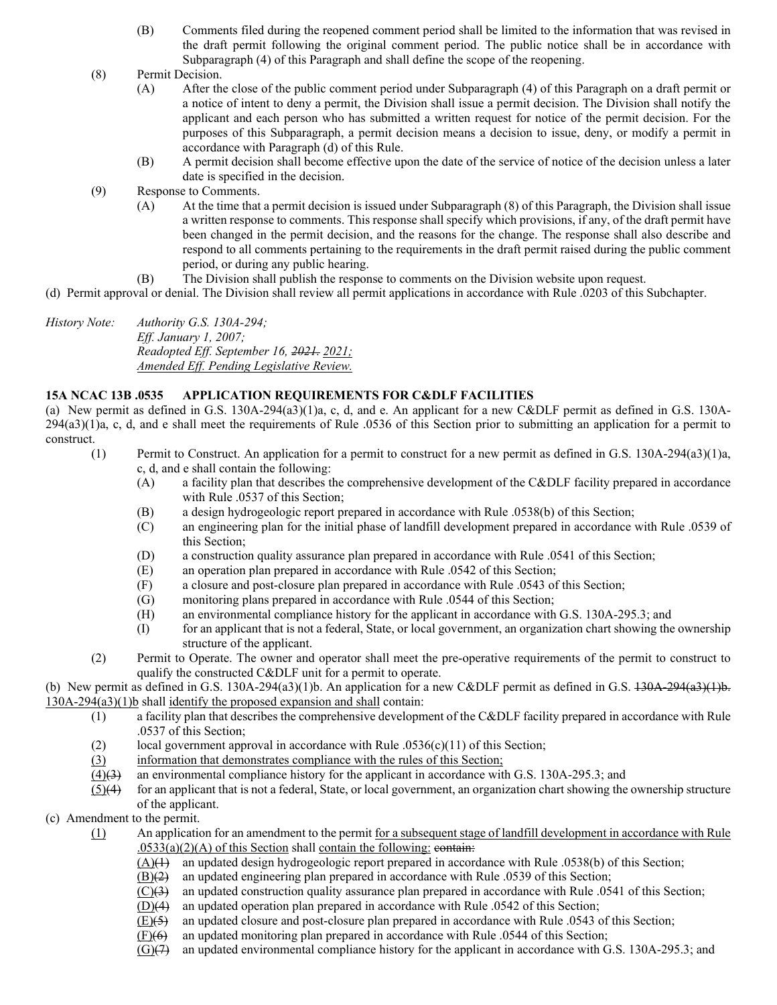- (B) Comments filed during the reopened comment period shall be limited to the information that was revised in the draft permit following the original comment period. The public notice shall be in accordance with Subparagraph (4) of this Paragraph and shall define the scope of the reopening.
- (8) Permit Decision.
	- (A) After the close of the public comment period under Subparagraph (4) of this Paragraph on a draft permit or a notice of intent to deny a permit, the Division shall issue a permit decision. The Division shall notify the applicant and each person who has submitted a written request for notice of the permit decision. For the purposes of this Subparagraph, a permit decision means a decision to issue, deny, or modify a permit in accordance with Paragraph (d) of this Rule.
	- (B) A permit decision shall become effective upon the date of the service of notice of the decision unless a later date is specified in the decision.
- (9) Response to Comments.
	- (A) At the time that a permit decision is issued under Subparagraph (8) of this Paragraph, the Division shall issue a written response to comments. This response shall specify which provisions, if any, of the draft permit have been changed in the permit decision, and the reasons for the change. The response shall also describe and respond to all comments pertaining to the requirements in the draft permit raised during the public comment period, or during any public hearing.
	- (B) The Division shall publish the response to comments on the Division website upon request.

(d) Permit approval or denial. The Division shall review all permit applications in accordance with Rule .0203 of this Subchapter.

*History Note: Authority G.S. 130A-294; Eff. January 1, 2007; Readopted Eff. September 16, 2021. 2021; Amended Eff. Pending Legislative Review.*

#### **15A NCAC 13B .0535 APPLICATION REQUIREMENTS FOR C&DLF FACILITIES**

(a) New permit as defined in G.S. 130A-294(a3)(1)a, c, d, and e. An applicant for a new C&DLF permit as defined in G.S. 130A-294(a3)(1)a, c, d, and e shall meet the requirements of Rule .0536 of this Section prior to submitting an application for a permit to construct.

- (1) Permit to Construct. An application for a permit to construct for a new permit as defined in G.S. 130A-294(a3)(1)a, c, d, and e shall contain the following:
	- (A) a facility plan that describes the comprehensive development of the C&DLF facility prepared in accordance with Rule .0537 of this Section;
	- (B) a design hydrogeologic report prepared in accordance with Rule .0538(b) of this Section;
	- (C) an engineering plan for the initial phase of landfill development prepared in accordance with Rule .0539 of this Section;
	- (D) a construction quality assurance plan prepared in accordance with Rule .0541 of this Section;
	- (E) an operation plan prepared in accordance with Rule .0542 of this Section;
	- (F) a closure and post-closure plan prepared in accordance with Rule .0543 of this Section;
	- (G) monitoring plans prepared in accordance with Rule .0544 of this Section;
	- (H) an environmental compliance history for the applicant in accordance with G.S. 130A-295.3; and
	- (I) for an applicant that is not a federal, State, or local government, an organization chart showing the ownership structure of the applicant.
- (2) Permit to Operate. The owner and operator shall meet the pre-operative requirements of the permit to construct to qualify the constructed C&DLF unit for a permit to operate.

(b) New permit as defined in G.S. 130A-294(a3)(1)b. An application for a new C&DLF permit as defined in G.S. 130A-294(a3)(1)b. 130A-294(a3)(1)b shall identify the proposed expansion and shall contain:

- (1) a facility plan that describes the comprehensive development of the C&DLF facility prepared in accordance with Rule .0537 of this Section;
- (2) local government approval in accordance with Rule  $.0536(c)(11)$  of this Section;
- (3) information that demonstrates compliance with the rules of this Section;
- $(4)(3)$  an environmental compliance history for the applicant in accordance with G.S. 130A-295.3; and
- $(5)(4)$  for an applicant that is not a federal, State, or local government, an organization chart showing the ownership structure of the applicant.
- (c) Amendment to the permit.
	- (1) An application for an amendment to the permit for a subsequent stage of landfill development in accordance with Rule  $.0533(a)(2)(A)$  of this Section shall contain the following: contain-
		- (A)(1) an updated design hydrogeologic report prepared in accordance with Rule .0538(b) of this Section;
		- (B)(2) an updated engineering plan prepared in accordance with Rule .0539 of this Section;
		- $(C)(3)$  an updated construction quality assurance plan prepared in accordance with Rule .0541 of this Section;
		- (D)(4) an updated operation plan prepared in accordance with Rule .0542 of this Section;
		- $(E)(5)$  an updated closure and post-closure plan prepared in accordance with Rule .0543 of this Section;
		- $(F)(6)$  an updated monitoring plan prepared in accordance with Rule .0544 of this Section;
		- $(G)(7)$  an updated environmental compliance history for the applicant in accordance with G.S. 130A-295.3; and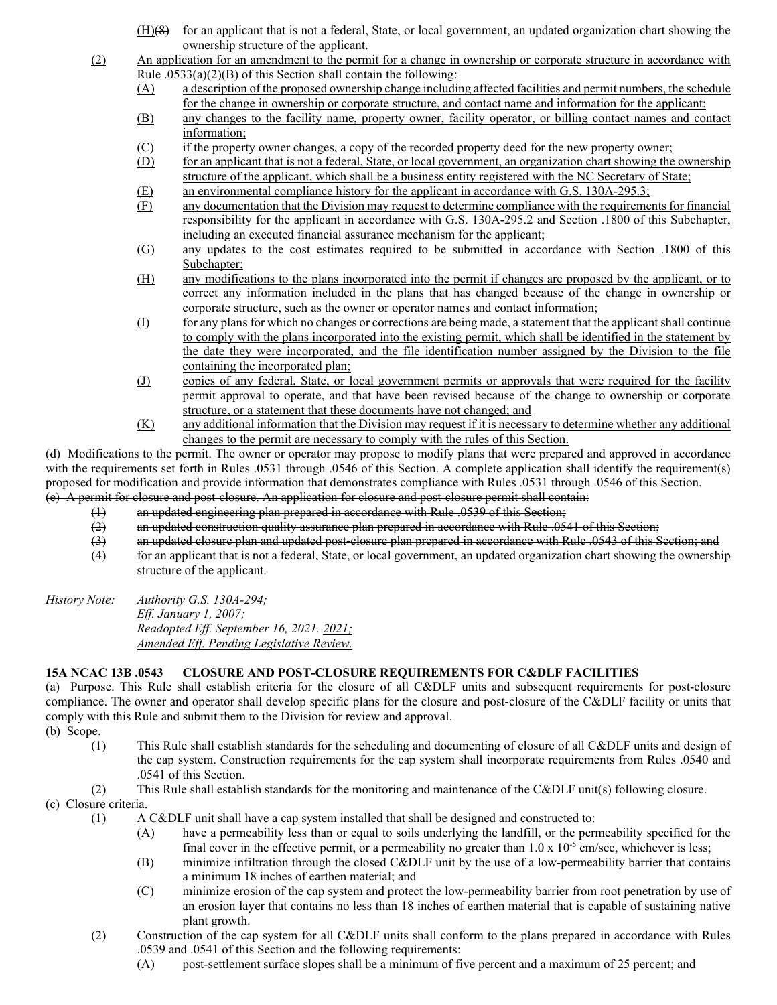- (H)(8) for an applicant that is not a federal, State, or local government, an updated organization chart showing the ownership structure of the applicant.
- (2) An application for an amendment to the permit for a change in ownership or corporate structure in accordance with Rule  $.0533(a)(2)(B)$  of this Section shall contain the following:
	- (A) a description of the proposed ownership change including affected facilities and permit numbers, the schedule for the change in ownership or corporate structure, and contact name and information for the applicant;

(B) any changes to the facility name, property owner, facility operator, or billing contact names and contact information;

- (C) if the property owner changes, a copy of the recorded property deed for the new property owner;
- (D) for an applicant that is not a federal, State, or local government, an organization chart showing the ownership structure of the applicant, which shall be a business entity registered with the NC Secretary of State;
- (E) an environmental compliance history for the applicant in accordance with G.S. 130A-295.3;
- (F) any documentation that the Division may request to determine compliance with the requirements for financial responsibility for the applicant in accordance with G.S. 130A-295.2 and Section .1800 of this Subchapter, including an executed financial assurance mechanism for the applicant;
- (G) any updates to the cost estimates required to be submitted in accordance with Section .1800 of this Subchapter;
- (H) any modifications to the plans incorporated into the permit if changes are proposed by the applicant, or to correct any information included in the plans that has changed because of the change in ownership or corporate structure, such as the owner or operator names and contact information;
- (I) for any plans for which no changes or corrections are being made, a statement that the applicant shall continue to comply with the plans incorporated into the existing permit, which shall be identified in the statement by the date they were incorporated, and the file identification number assigned by the Division to the file containing the incorporated plan;
- (J) copies of any federal, State, or local government permits or approvals that were required for the facility permit approval to operate, and that have been revised because of the change to ownership or corporate structure, or a statement that these documents have not changed; and
- (K) any additional information that the Division may request if it is necessary to determine whether any additional changes to the permit are necessary to comply with the rules of this Section.

(d) Modifications to the permit. The owner or operator may propose to modify plans that were prepared and approved in accordance with the requirements set forth in Rules .0531 through .0546 of this Section. A complete application shall identify the requirement(s) proposed for modification and provide information that demonstrates compliance with Rules .0531 through .0546 of this Section. (e) A permit for closure and post-closure. An application for closure and post-closure permit shall contain:

- (1) an updated engineering plan prepared in accordance with Rule .0539 of this Section;
- 
- (2) an updated construction quality assurance plan prepared in accordance with Rule .0541 of this Section;<br>(3) an updated closure plan and updated post closure plan prepared in accordance with Rule .0543 of this S  $(3)$  an updated closure plan and updated post-closure plan prepared in accordance with Rule .0543 of this Section; and  $(4)$  for an applicant that is not a federal. State, or local government, an updated organization cha
- for an applicant that is not a federal, State, or local government, an updated organization chart showing the ownership structure of the applicant.
- *History Note: Authority G.S. 130A-294; Eff. January 1, 2007; Readopted Eff. September 16, 2021. 2021; Amended Eff. Pending Legislative Review.*

# **15A NCAC 13B .0543 CLOSURE AND POST-CLOSURE REQUIREMENTS FOR C&DLF FACILITIES**

(a) Purpose. This Rule shall establish criteria for the closure of all C&DLF units and subsequent requirements for post-closure compliance. The owner and operator shall develop specific plans for the closure and post-closure of the C&DLF facility or units that comply with this Rule and submit them to the Division for review and approval.

- (b) Scope.
	- (1) This Rule shall establish standards for the scheduling and documenting of closure of all C&DLF units and design of the cap system. Construction requirements for the cap system shall incorporate requirements from Rules .0540 and .0541 of this Section.
	- (2) This Rule shall establish standards for the monitoring and maintenance of the C&DLF unit(s) following closure.

# (c) Closure criteria.

- (1) A C&DLF unit shall have a cap system installed that shall be designed and constructed to:
	- (A) have a permeability less than or equal to soils underlying the landfill, or the permeability specified for the final cover in the effective permit, or a permeability no greater than  $1.0 \times 10^{-5}$  cm/sec, whichever is less;
	- (B) minimize infiltration through the closed C&DLF unit by the use of a low-permeability barrier that contains a minimum 18 inches of earthen material; and
	- (C) minimize erosion of the cap system and protect the low-permeability barrier from root penetration by use of an erosion layer that contains no less than 18 inches of earthen material that is capable of sustaining native plant growth.
- (2) Construction of the cap system for all C&DLF units shall conform to the plans prepared in accordance with Rules .0539 and .0541 of this Section and the following requirements:
	- (A) post-settlement surface slopes shall be a minimum of five percent and a maximum of 25 percent; and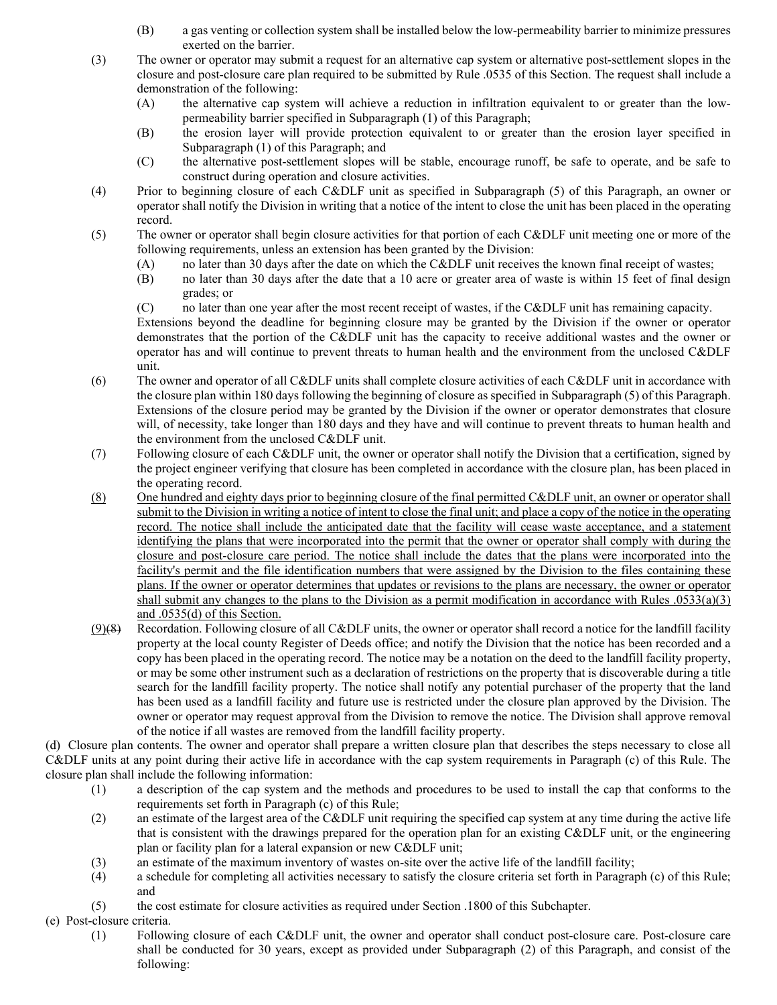- (B) a gas venting or collection system shall be installed below the low-permeability barrier to minimize pressures exerted on the barrier.
- (3) The owner or operator may submit a request for an alternative cap system or alternative post-settlement slopes in the closure and post-closure care plan required to be submitted by Rule .0535 of this Section. The request shall include a demonstration of the following:
	- (A) the alternative cap system will achieve a reduction in infiltration equivalent to or greater than the lowpermeability barrier specified in Subparagraph (1) of this Paragraph;
	- (B) the erosion layer will provide protection equivalent to or greater than the erosion layer specified in Subparagraph (1) of this Paragraph; and
	- (C) the alternative post-settlement slopes will be stable, encourage runoff, be safe to operate, and be safe to construct during operation and closure activities.
- (4) Prior to beginning closure of each C&DLF unit as specified in Subparagraph (5) of this Paragraph, an owner or operator shall notify the Division in writing that a notice of the intent to close the unit has been placed in the operating record.
- (5) The owner or operator shall begin closure activities for that portion of each C&DLF unit meeting one or more of the following requirements, unless an extension has been granted by the Division:
	- (A) no later than 30 days after the date on which the C&DLF unit receives the known final receipt of wastes;
	- (B) no later than 30 days after the date that a 10 acre or greater area of waste is within 15 feet of final design grades; or
	- (C) no later than one year after the most recent receipt of wastes, if the C&DLF unit has remaining capacity.

Extensions beyond the deadline for beginning closure may be granted by the Division if the owner or operator demonstrates that the portion of the C&DLF unit has the capacity to receive additional wastes and the owner or operator has and will continue to prevent threats to human health and the environment from the unclosed C&DLF unit.

- (6) The owner and operator of all C&DLF units shall complete closure activities of each C&DLF unit in accordance with the closure plan within 180 days following the beginning of closure as specified in Subparagraph (5) of this Paragraph. Extensions of the closure period may be granted by the Division if the owner or operator demonstrates that closure will, of necessity, take longer than 180 days and they have and will continue to prevent threats to human health and the environment from the unclosed C&DLF unit.
- (7) Following closure of each C&DLF unit, the owner or operator shall notify the Division that a certification, signed by the project engineer verifying that closure has been completed in accordance with the closure plan, has been placed in the operating record.
- (8) One hundred and eighty days prior to beginning closure of the final permitted C&DLF unit, an owner or operator shall submit to the Division in writing a notice of intent to close the final unit; and place a copy of the notice in the operating record. The notice shall include the anticipated date that the facility will cease waste acceptance, and a statement identifying the plans that were incorporated into the permit that the owner or operator shall comply with during the closure and post-closure care period. The notice shall include the dates that the plans were incorporated into the facility's permit and the file identification numbers that were assigned by the Division to the files containing these plans. If the owner or operator determines that updates or revisions to the plans are necessary, the owner or operator shall submit any changes to the plans to the Division as a permit modification in accordance with Rules  $.0533(a)(3)$ and .0535(d) of this Section.
- $(9)$ (8) Recordation. Following closure of all C&DLF units, the owner or operator shall record a notice for the landfill facility property at the local county Register of Deeds office; and notify the Division that the notice has been recorded and a copy has been placed in the operating record. The notice may be a notation on the deed to the landfill facility property, or may be some other instrument such as a declaration of restrictions on the property that is discoverable during a title search for the landfill facility property. The notice shall notify any potential purchaser of the property that the land has been used as a landfill facility and future use is restricted under the closure plan approved by the Division. The owner or operator may request approval from the Division to remove the notice. The Division shall approve removal of the notice if all wastes are removed from the landfill facility property.

(d) Closure plan contents. The owner and operator shall prepare a written closure plan that describes the steps necessary to close all C&DLF units at any point during their active life in accordance with the cap system requirements in Paragraph (c) of this Rule. The closure plan shall include the following information:

- (1) a description of the cap system and the methods and procedures to be used to install the cap that conforms to the requirements set forth in Paragraph (c) of this Rule;
- (2) an estimate of the largest area of the C&DLF unit requiring the specified cap system at any time during the active life that is consistent with the drawings prepared for the operation plan for an existing C&DLF unit, or the engineering plan or facility plan for a lateral expansion or new C&DLF unit;
- (3) an estimate of the maximum inventory of wastes on-site over the active life of the landfill facility;
- (4) a schedule for completing all activities necessary to satisfy the closure criteria set forth in Paragraph (c) of this Rule; and
- (5) the cost estimate for closure activities as required under Section .1800 of this Subchapter.

### (e) Post-closure criteria.

(1) Following closure of each C&DLF unit, the owner and operator shall conduct post-closure care. Post-closure care shall be conducted for 30 years, except as provided under Subparagraph (2) of this Paragraph, and consist of the following: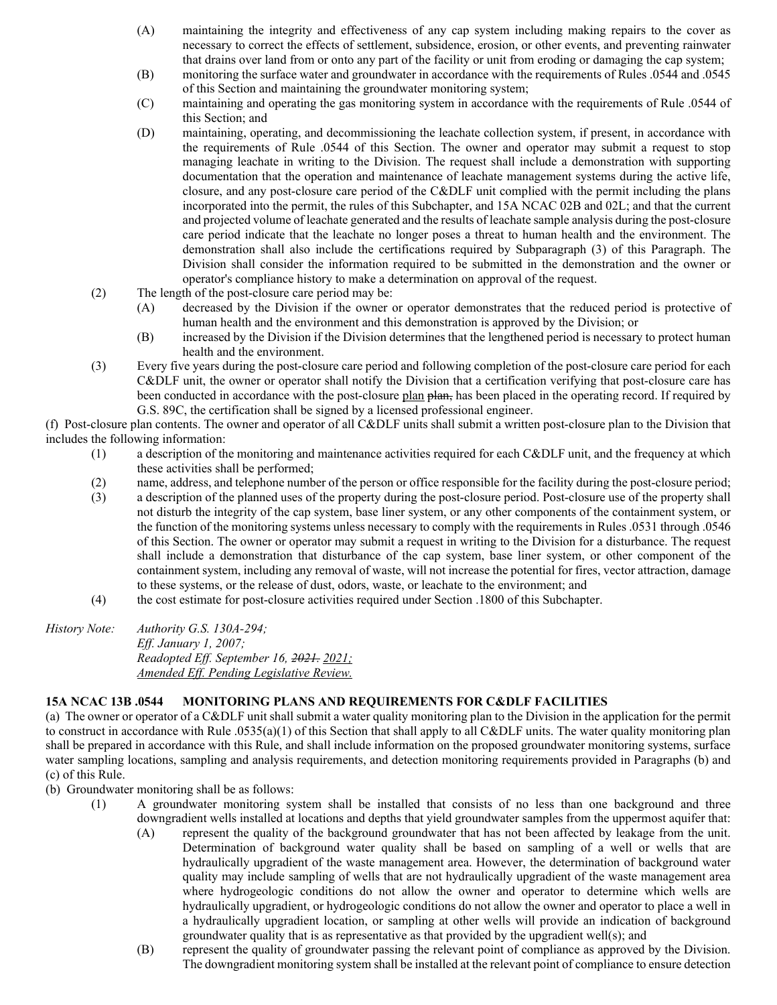- (A) maintaining the integrity and effectiveness of any cap system including making repairs to the cover as necessary to correct the effects of settlement, subsidence, erosion, or other events, and preventing rainwater that drains over land from or onto any part of the facility or unit from eroding or damaging the cap system;
- (B) monitoring the surface water and groundwater in accordance with the requirements of Rules .0544 and .0545 of this Section and maintaining the groundwater monitoring system;
- (C) maintaining and operating the gas monitoring system in accordance with the requirements of Rule .0544 of this Section; and
- (D) maintaining, operating, and decommissioning the leachate collection system, if present, in accordance with the requirements of Rule .0544 of this Section. The owner and operator may submit a request to stop managing leachate in writing to the Division. The request shall include a demonstration with supporting documentation that the operation and maintenance of leachate management systems during the active life, closure, and any post-closure care period of the C&DLF unit complied with the permit including the plans incorporated into the permit, the rules of this Subchapter, and 15A NCAC 02B and 02L; and that the current and projected volume of leachate generated and the results of leachate sample analysis during the post-closure care period indicate that the leachate no longer poses a threat to human health and the environment. The demonstration shall also include the certifications required by Subparagraph (3) of this Paragraph. The Division shall consider the information required to be submitted in the demonstration and the owner or operator's compliance history to make a determination on approval of the request.
- (2) The length of the post-closure care period may be:
	- (A) decreased by the Division if the owner or operator demonstrates that the reduced period is protective of human health and the environment and this demonstration is approved by the Division; or
	- (B) increased by the Division if the Division determines that the lengthened period is necessary to protect human health and the environment.
- (3) Every five years during the post-closure care period and following completion of the post-closure care period for each C&DLF unit, the owner or operator shall notify the Division that a certification verifying that post-closure care has been conducted in accordance with the post-closure plan plan, has been placed in the operating record. If required by G.S. 89C, the certification shall be signed by a licensed professional engineer.

(f) Post-closure plan contents. The owner and operator of all C&DLF units shall submit a written post-closure plan to the Division that includes the following information:

- (1) a description of the monitoring and maintenance activities required for each C&DLF unit, and the frequency at which these activities shall be performed;
- (2) name, address, and telephone number of the person or office responsible for the facility during the post-closure period;
- (3) a description of the planned uses of the property during the post-closure period. Post-closure use of the property shall not disturb the integrity of the cap system, base liner system, or any other components of the containment system, or the function of the monitoring systems unless necessary to comply with the requirements in Rules .0531 through .0546 of this Section. The owner or operator may submit a request in writing to the Division for a disturbance. The request shall include a demonstration that disturbance of the cap system, base liner system, or other component of the containment system, including any removal of waste, will not increase the potential for fires, vector attraction, damage to these systems, or the release of dust, odors, waste, or leachate to the environment; and
- (4) the cost estimate for post-closure activities required under Section .1800 of this Subchapter.

| History Note: | Authority G.S. $130A-294$ ;              |
|---------------|------------------------------------------|
|               | <i>Eff. January 1, 2007;</i>             |
|               | Readopted Eff. September 16, 2021, 2021; |
|               | Amended Eff. Pending Legislative Review. |

### **15A NCAC 13B .0544 MONITORING PLANS AND REQUIREMENTS FOR C&DLF FACILITIES**

(a) The owner or operator of a C&DLF unit shall submit a water quality monitoring plan to the Division in the application for the permit to construct in accordance with Rule .0535(a)(1) of this Section that shall apply to all C&DLF units. The water quality monitoring plan shall be prepared in accordance with this Rule, and shall include information on the proposed groundwater monitoring systems, surface water sampling locations, sampling and analysis requirements, and detection monitoring requirements provided in Paragraphs (b) and (c) of this Rule.

- (b) Groundwater monitoring shall be as follows:
	- (1) A groundwater monitoring system shall be installed that consists of no less than one background and three downgradient wells installed at locations and depths that yield groundwater samples from the uppermost aquifer that:
		- (A) represent the quality of the background groundwater that has not been affected by leakage from the unit. Determination of background water quality shall be based on sampling of a well or wells that are hydraulically upgradient of the waste management area. However, the determination of background water quality may include sampling of wells that are not hydraulically upgradient of the waste management area where hydrogeologic conditions do not allow the owner and operator to determine which wells are hydraulically upgradient, or hydrogeologic conditions do not allow the owner and operator to place a well in a hydraulically upgradient location, or sampling at other wells will provide an indication of background groundwater quality that is as representative as that provided by the upgradient well(s); and
		- (B) represent the quality of groundwater passing the relevant point of compliance as approved by the Division. The downgradient monitoring system shall be installed at the relevant point of compliance to ensure detection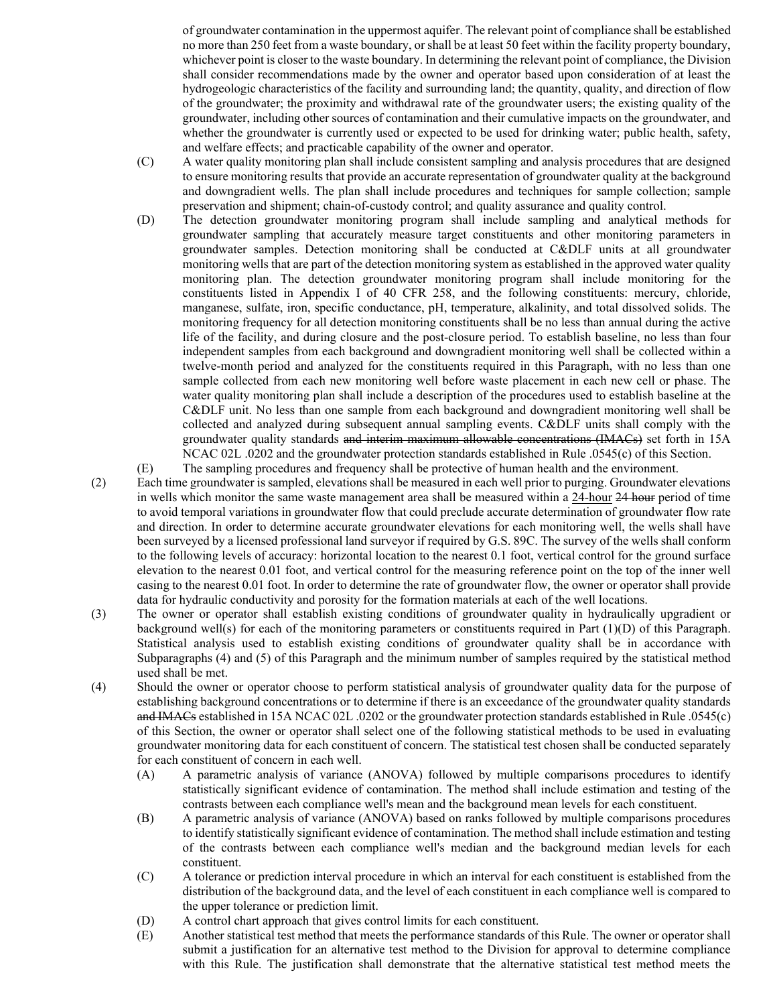of groundwater contamination in the uppermost aquifer. The relevant point of compliance shall be established no more than 250 feet from a waste boundary, or shall be at least 50 feet within the facility property boundary, whichever point is closer to the waste boundary. In determining the relevant point of compliance, the Division shall consider recommendations made by the owner and operator based upon consideration of at least the hydrogeologic characteristics of the facility and surrounding land; the quantity, quality, and direction of flow of the groundwater; the proximity and withdrawal rate of the groundwater users; the existing quality of the groundwater, including other sources of contamination and their cumulative impacts on the groundwater, and whether the groundwater is currently used or expected to be used for drinking water; public health, safety, and welfare effects; and practicable capability of the owner and operator.

- (C) A water quality monitoring plan shall include consistent sampling and analysis procedures that are designed to ensure monitoring results that provide an accurate representation of groundwater quality at the background and downgradient wells. The plan shall include procedures and techniques for sample collection; sample preservation and shipment; chain-of-custody control; and quality assurance and quality control.
- (D) The detection groundwater monitoring program shall include sampling and analytical methods for groundwater sampling that accurately measure target constituents and other monitoring parameters in groundwater samples. Detection monitoring shall be conducted at C&DLF units at all groundwater monitoring wells that are part of the detection monitoring system as established in the approved water quality monitoring plan. The detection groundwater monitoring program shall include monitoring for the constituents listed in Appendix I of 40 CFR 258, and the following constituents: mercury, chloride, manganese, sulfate, iron, specific conductance, pH, temperature, alkalinity, and total dissolved solids. The monitoring frequency for all detection monitoring constituents shall be no less than annual during the active life of the facility, and during closure and the post-closure period. To establish baseline, no less than four independent samples from each background and downgradient monitoring well shall be collected within a twelve-month period and analyzed for the constituents required in this Paragraph, with no less than one sample collected from each new monitoring well before waste placement in each new cell or phase. The water quality monitoring plan shall include a description of the procedures used to establish baseline at the C&DLF unit. No less than one sample from each background and downgradient monitoring well shall be collected and analyzed during subsequent annual sampling events. C&DLF units shall comply with the groundwater quality standards and interim maximum allowable concentrations (IMACs) set forth in 15A NCAC 02L .0202 and the groundwater protection standards established in Rule .0545(c) of this Section.
- (E) The sampling procedures and frequency shall be protective of human health and the environment.
- (2) Each time groundwater is sampled, elevations shall be measured in each well prior to purging. Groundwater elevations in wells which monitor the same waste management area shall be measured within a 24-hour 24 hour period of time to avoid temporal variations in groundwater flow that could preclude accurate determination of groundwater flow rate and direction. In order to determine accurate groundwater elevations for each monitoring well, the wells shall have been surveyed by a licensed professional land surveyor if required by G.S. 89C. The survey of the wells shall conform to the following levels of accuracy: horizontal location to the nearest 0.1 foot, vertical control for the ground surface elevation to the nearest 0.01 foot, and vertical control for the measuring reference point on the top of the inner well casing to the nearest 0.01 foot. In order to determine the rate of groundwater flow, the owner or operator shall provide data for hydraulic conductivity and porosity for the formation materials at each of the well locations.
- (3) The owner or operator shall establish existing conditions of groundwater quality in hydraulically upgradient or background well(s) for each of the monitoring parameters or constituents required in Part (1)(D) of this Paragraph. Statistical analysis used to establish existing conditions of groundwater quality shall be in accordance with Subparagraphs (4) and (5) of this Paragraph and the minimum number of samples required by the statistical method used shall be met.
- (4) Should the owner or operator choose to perform statistical analysis of groundwater quality data for the purpose of establishing background concentrations or to determine if there is an exceedance of the groundwater quality standards and IMACs established in 15A NCAC 02L .0202 or the groundwater protection standards established in Rule .0545(c) of this Section, the owner or operator shall select one of the following statistical methods to be used in evaluating groundwater monitoring data for each constituent of concern. The statistical test chosen shall be conducted separately for each constituent of concern in each well.
	- (A) A parametric analysis of variance (ANOVA) followed by multiple comparisons procedures to identify statistically significant evidence of contamination. The method shall include estimation and testing of the contrasts between each compliance well's mean and the background mean levels for each constituent.
	- (B) A parametric analysis of variance (ANOVA) based on ranks followed by multiple comparisons procedures to identify statistically significant evidence of contamination. The method shall include estimation and testing of the contrasts between each compliance well's median and the background median levels for each constituent.
	- (C) A tolerance or prediction interval procedure in which an interval for each constituent is established from the distribution of the background data, and the level of each constituent in each compliance well is compared to the upper tolerance or prediction limit.
	- (D) A control chart approach that gives control limits for each constituent.
	- (E) Another statistical test method that meets the performance standards of this Rule. The owner or operator shall submit a justification for an alternative test method to the Division for approval to determine compliance with this Rule. The justification shall demonstrate that the alternative statistical test method meets the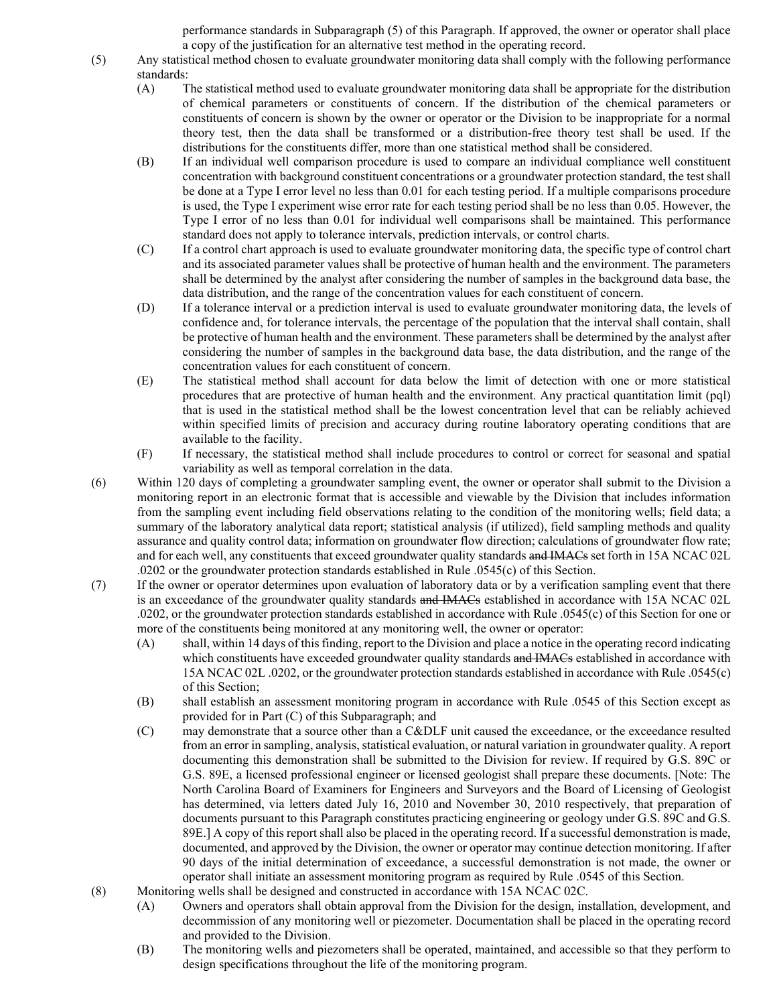performance standards in Subparagraph (5) of this Paragraph. If approved, the owner or operator shall place a copy of the justification for an alternative test method in the operating record.

- (5) Any statistical method chosen to evaluate groundwater monitoring data shall comply with the following performance standards:
	- (A) The statistical method used to evaluate groundwater monitoring data shall be appropriate for the distribution of chemical parameters or constituents of concern. If the distribution of the chemical parameters or constituents of concern is shown by the owner or operator or the Division to be inappropriate for a normal theory test, then the data shall be transformed or a distribution-free theory test shall be used. If the distributions for the constituents differ, more than one statistical method shall be considered.
	- (B) If an individual well comparison procedure is used to compare an individual compliance well constituent concentration with background constituent concentrations or a groundwater protection standard, the test shall be done at a Type I error level no less than 0.01 for each testing period. If a multiple comparisons procedure is used, the Type I experiment wise error rate for each testing period shall be no less than 0.05. However, the Type I error of no less than 0.01 for individual well comparisons shall be maintained. This performance standard does not apply to tolerance intervals, prediction intervals, or control charts.
	- (C) If a control chart approach is used to evaluate groundwater monitoring data, the specific type of control chart and its associated parameter values shall be protective of human health and the environment. The parameters shall be determined by the analyst after considering the number of samples in the background data base, the data distribution, and the range of the concentration values for each constituent of concern.
	- (D) If a tolerance interval or a prediction interval is used to evaluate groundwater monitoring data, the levels of confidence and, for tolerance intervals, the percentage of the population that the interval shall contain, shall be protective of human health and the environment. These parameters shall be determined by the analyst after considering the number of samples in the background data base, the data distribution, and the range of the concentration values for each constituent of concern.
	- (E) The statistical method shall account for data below the limit of detection with one or more statistical procedures that are protective of human health and the environment. Any practical quantitation limit (pql) that is used in the statistical method shall be the lowest concentration level that can be reliably achieved within specified limits of precision and accuracy during routine laboratory operating conditions that are available to the facility.
	- (F) If necessary, the statistical method shall include procedures to control or correct for seasonal and spatial variability as well as temporal correlation in the data.
- (6) Within 120 days of completing a groundwater sampling event, the owner or operator shall submit to the Division a monitoring report in an electronic format that is accessible and viewable by the Division that includes information from the sampling event including field observations relating to the condition of the monitoring wells; field data; a summary of the laboratory analytical data report; statistical analysis (if utilized), field sampling methods and quality assurance and quality control data; information on groundwater flow direction; calculations of groundwater flow rate; and for each well, any constituents that exceed groundwater quality standards and IMACs set forth in 15A NCAC 02L .0202 or the groundwater protection standards established in Rule .0545(c) of this Section.
- (7) If the owner or operator determines upon evaluation of laboratory data or by a verification sampling event that there is an exceedance of the groundwater quality standards and IMACs established in accordance with 15A NCAC 02L .0202, or the groundwater protection standards established in accordance with Rule .0545(c) of this Section for one or more of the constituents being monitored at any monitoring well, the owner or operator:
	- (A) shall, within 14 days of this finding, report to the Division and place a notice in the operating record indicating which constituents have exceeded groundwater quality standards and IMACs established in accordance with 15A NCAC 02L .0202, or the groundwater protection standards established in accordance with Rule .0545(c) of this Section;
	- (B) shall establish an assessment monitoring program in accordance with Rule .0545 of this Section except as provided for in Part (C) of this Subparagraph; and
	- (C) may demonstrate that a source other than a C&DLF unit caused the exceedance, or the exceedance resulted from an error in sampling, analysis, statistical evaluation, or natural variation in groundwater quality. A report documenting this demonstration shall be submitted to the Division for review. If required by G.S. 89C or G.S. 89E, a licensed professional engineer or licensed geologist shall prepare these documents. [Note: The North Carolina Board of Examiners for Engineers and Surveyors and the Board of Licensing of Geologist has determined, via letters dated July 16, 2010 and November 30, 2010 respectively, that preparation of documents pursuant to this Paragraph constitutes practicing engineering or geology under G.S. 89C and G.S. 89E.] A copy of this report shall also be placed in the operating record. If a successful demonstration is made, documented, and approved by the Division, the owner or operator may continue detection monitoring. If after 90 days of the initial determination of exceedance, a successful demonstration is not made, the owner or operator shall initiate an assessment monitoring program as required by Rule .0545 of this Section.
- (8) Monitoring wells shall be designed and constructed in accordance with 15A NCAC 02C.
	- (A) Owners and operators shall obtain approval from the Division for the design, installation, development, and decommission of any monitoring well or piezometer. Documentation shall be placed in the operating record and provided to the Division.
	- (B) The monitoring wells and piezometers shall be operated, maintained, and accessible so that they perform to design specifications throughout the life of the monitoring program.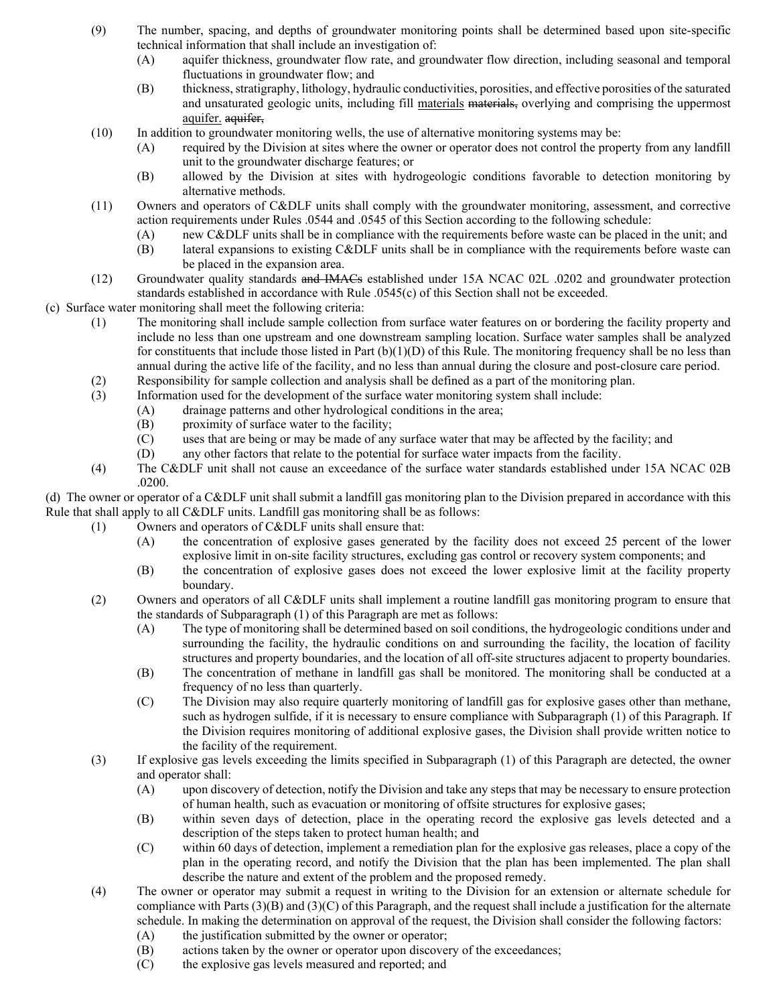- (9) The number, spacing, and depths of groundwater monitoring points shall be determined based upon site-specific technical information that shall include an investigation of:
	- (A) aquifer thickness, groundwater flow rate, and groundwater flow direction, including seasonal and temporal fluctuations in groundwater flow; and
	- (B) thickness, stratigraphy, lithology, hydraulic conductivities, porosities, and effective porosities of the saturated and unsaturated geologic units, including fill materials materials, overlying and comprising the uppermost aquifer. aquifer,
- (10) In addition to groundwater monitoring wells, the use of alternative monitoring systems may be:
	- (A) required by the Division at sites where the owner or operator does not control the property from any landfill unit to the groundwater discharge features; or
	- (B) allowed by the Division at sites with hydrogeologic conditions favorable to detection monitoring by alternative methods.
- (11) Owners and operators of C&DLF units shall comply with the groundwater monitoring, assessment, and corrective action requirements under Rules .0544 and .0545 of this Section according to the following schedule:
	- (A) new C&DLF units shall be in compliance with the requirements before waste can be placed in the unit; and
	- (B) lateral expansions to existing C&DLF units shall be in compliance with the requirements before waste can be placed in the expansion area.
- (12) Groundwater quality standards and IMACs established under 15A NCAC 02L .0202 and groundwater protection standards established in accordance with Rule .0545(c) of this Section shall not be exceeded.

(c) Surface water monitoring shall meet the following criteria:

- (1) The monitoring shall include sample collection from surface water features on or bordering the facility property and include no less than one upstream and one downstream sampling location. Surface water samples shall be analyzed for constituents that include those listed in Part (b)(1)(D) of this Rule. The monitoring frequency shall be no less than annual during the active life of the facility, and no less than annual during the closure and post-closure care period.
- (2) Responsibility for sample collection and analysis shall be defined as a part of the monitoring plan.
- (3) Information used for the development of the surface water monitoring system shall include:
	- (A) drainage patterns and other hydrological conditions in the area;
	- (B) proximity of surface water to the facility;
	- (C) uses that are being or may be made of any surface water that may be affected by the facility; and
	- (D) any other factors that relate to the potential for surface water impacts from the facility.
- (4) The C&DLF unit shall not cause an exceedance of the surface water standards established under 15A NCAC 02B .0200.

(d) The owner or operator of a C&DLF unit shall submit a landfill gas monitoring plan to the Division prepared in accordance with this Rule that shall apply to all C&DLF units. Landfill gas monitoring shall be as follows:

- (1) Owners and operators of C&DLF units shall ensure that:
	- (A) the concentration of explosive gases generated by the facility does not exceed 25 percent of the lower explosive limit in on-site facility structures, excluding gas control or recovery system components; and
	- (B) the concentration of explosive gases does not exceed the lower explosive limit at the facility property boundary.
- (2) Owners and operators of all C&DLF units shall implement a routine landfill gas monitoring program to ensure that the standards of Subparagraph (1) of this Paragraph are met as follows:
	- (A) The type of monitoring shall be determined based on soil conditions, the hydrogeologic conditions under and surrounding the facility, the hydraulic conditions on and surrounding the facility, the location of facility structures and property boundaries, and the location of all off-site structures adjacent to property boundaries.
	- (B) The concentration of methane in landfill gas shall be monitored. The monitoring shall be conducted at a frequency of no less than quarterly.
	- (C) The Division may also require quarterly monitoring of landfill gas for explosive gases other than methane, such as hydrogen sulfide, if it is necessary to ensure compliance with Subparagraph (1) of this Paragraph. If the Division requires monitoring of additional explosive gases, the Division shall provide written notice to the facility of the requirement.
- (3) If explosive gas levels exceeding the limits specified in Subparagraph (1) of this Paragraph are detected, the owner and operator shall:
	- (A) upon discovery of detection, notify the Division and take any steps that may be necessary to ensure protection of human health, such as evacuation or monitoring of offsite structures for explosive gases;
	- (B) within seven days of detection, place in the operating record the explosive gas levels detected and a description of the steps taken to protect human health; and
	- (C) within 60 days of detection, implement a remediation plan for the explosive gas releases, place a copy of the plan in the operating record, and notify the Division that the plan has been implemented. The plan shall describe the nature and extent of the problem and the proposed remedy.
- (4) The owner or operator may submit a request in writing to the Division for an extension or alternate schedule for compliance with Parts (3)(B) and (3)(C) of this Paragraph, and the request shall include a justification for the alternate schedule. In making the determination on approval of the request, the Division shall consider the following factors:
	- (A) the justification submitted by the owner or operator;
	- (B) actions taken by the owner or operator upon discovery of the exceedances;
	- (C) the explosive gas levels measured and reported; and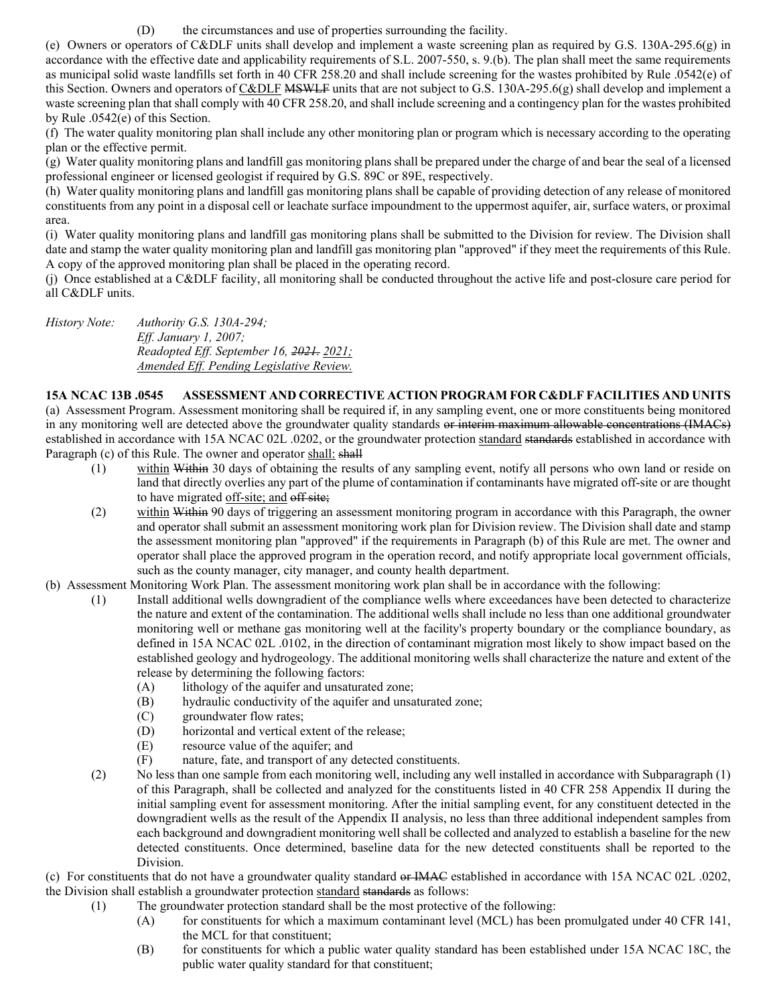(D) the circumstances and use of properties surrounding the facility.

(e) Owners or operators of C&DLF units shall develop and implement a waste screening plan as required by G.S. 130A-295.6(g) in accordance with the effective date and applicability requirements of S.L. 2007-550, s. 9.(b). The plan shall meet the same requirements as municipal solid waste landfills set forth in 40 CFR 258.20 and shall include screening for the wastes prohibited by Rule .0542(e) of this Section. Owners and operators of C&DLF MSWLF units that are not subject to G.S. 130A-295.6(g) shall develop and implement a waste screening plan that shall comply with 40 CFR 258.20, and shall include screening and a contingency plan for the wastes prohibited by Rule .0542(e) of this Section.

(f) The water quality monitoring plan shall include any other monitoring plan or program which is necessary according to the operating plan or the effective permit.

(g) Water quality monitoring plans and landfill gas monitoring plans shall be prepared under the charge of and bear the seal of a licensed professional engineer or licensed geologist if required by G.S. 89C or 89E, respectively.

(h) Water quality monitoring plans and landfill gas monitoring plans shall be capable of providing detection of any release of monitored constituents from any point in a disposal cell or leachate surface impoundment to the uppermost aquifer, air, surface waters, or proximal area.

(i) Water quality monitoring plans and landfill gas monitoring plans shall be submitted to the Division for review. The Division shall date and stamp the water quality monitoring plan and landfill gas monitoring plan "approved" if they meet the requirements of this Rule. A copy of the approved monitoring plan shall be placed in the operating record.

(j) Once established at a C&DLF facility, all monitoring shall be conducted throughout the active life and post-closure care period for all C&DLF units.

*History Note: Authority G.S. 130A-294; Eff. January 1, 2007; Readopted Eff. September 16, 2021. 2021; Amended Eff. Pending Legislative Review.*

### **15A NCAC 13B .0545 ASSESSMENT AND CORRECTIVE ACTION PROGRAM FOR C&DLF FACILITIES AND UNITS**

(a) Assessment Program. Assessment monitoring shall be required if, in any sampling event, one or more constituents being monitored in any monitoring well are detected above the groundwater quality standards or interim maximum allowable concentrations (IMACs) established in accordance with 15A NCAC 02L .0202, or the groundwater protection standard standards established in accordance with Paragraph (c) of this Rule. The owner and operator shall: shall

- (1) within Within 30 days of obtaining the results of any sampling event, notify all persons who own land or reside on land that directly overlies any part of the plume of contamination if contaminants have migrated off-site or are thought to have migrated off-site; and off site;
- (2) within Within 90 days of triggering an assessment monitoring program in accordance with this Paragraph, the owner and operator shall submit an assessment monitoring work plan for Division review. The Division shall date and stamp the assessment monitoring plan "approved" if the requirements in Paragraph (b) of this Rule are met. The owner and operator shall place the approved program in the operation record, and notify appropriate local government officials, such as the county manager, city manager, and county health department.
- (b) Assessment Monitoring Work Plan. The assessment monitoring work plan shall be in accordance with the following:
	- (1) Install additional wells downgradient of the compliance wells where exceedances have been detected to characterize the nature and extent of the contamination. The additional wells shall include no less than one additional groundwater monitoring well or methane gas monitoring well at the facility's property boundary or the compliance boundary, as defined in 15A NCAC 02L .0102, in the direction of contaminant migration most likely to show impact based on the established geology and hydrogeology. The additional monitoring wells shall characterize the nature and extent of the release by determining the following factors:
		- (A) lithology of the aquifer and unsaturated zone;
		- (B) hydraulic conductivity of the aquifer and unsaturated zone;
		- (C) groundwater flow rates;
		- (D) horizontal and vertical extent of the release;
		- (E) resource value of the aquifer; and
		- (F) nature, fate, and transport of any detected constituents.
	- (2) No less than one sample from each monitoring well, including any well installed in accordance with Subparagraph (1) of this Paragraph, shall be collected and analyzed for the constituents listed in 40 CFR 258 Appendix II during the initial sampling event for assessment monitoring. After the initial sampling event, for any constituent detected in the downgradient wells as the result of the Appendix II analysis, no less than three additional independent samples from each background and downgradient monitoring well shall be collected and analyzed to establish a baseline for the new detected constituents. Once determined, baseline data for the new detected constituents shall be reported to the Division.

(c) For constituents that do not have a groundwater quality standard or IMAC established in accordance with 15A NCAC 02L .0202, the Division shall establish a groundwater protection standard standards as follows:

- (1) The groundwater protection standard shall be the most protective of the following:
	- (A) for constituents for which a maximum contaminant level (MCL) has been promulgated under 40 CFR 141, the MCL for that constituent;
	- (B) for constituents for which a public water quality standard has been established under 15A NCAC 18C, the public water quality standard for that constituent;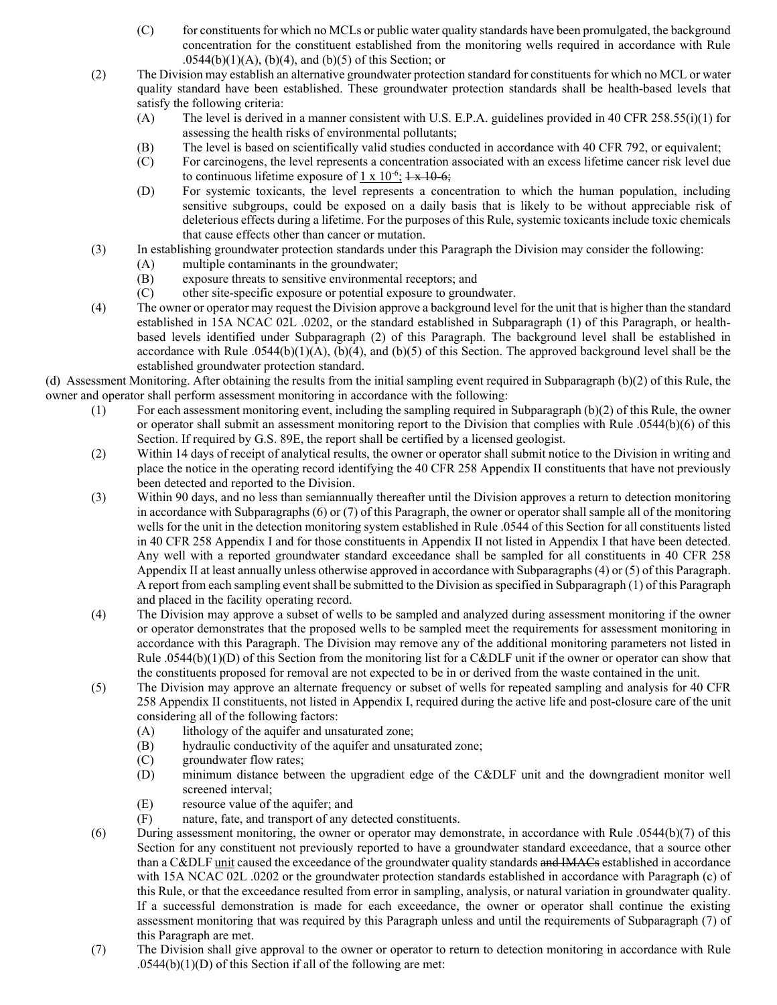- (C) for constituents for which no MCLs or public water quality standards have been promulgated, the background concentration for the constituent established from the monitoring wells required in accordance with Rule  $.0544(b)(1)(A)$ , (b)(4), and (b)(5) of this Section; or
- (2) The Division may establish an alternative groundwater protection standard for constituents for which no MCL or water quality standard have been established. These groundwater protection standards shall be health-based levels that satisfy the following criteria:
	- (A) The level is derived in a manner consistent with U.S. E.P.A. guidelines provided in 40 CFR 258.55(i)(1) for assessing the health risks of environmental pollutants;
	- (B) The level is based on scientifically valid studies conducted in accordance with 40 CFR 792, or equivalent;
	- (C) For carcinogens, the level represents a concentration associated with an excess lifetime cancer risk level due to continuous lifetime exposure of 1 x  $10^{-6}$ ;  $1 \times 10^{-6}$ ;
	- (D) For systemic toxicants, the level represents a concentration to which the human population, including sensitive subgroups, could be exposed on a daily basis that is likely to be without appreciable risk of deleterious effects during a lifetime. For the purposes of this Rule, systemic toxicants include toxic chemicals that cause effects other than cancer or mutation.
- (3) In establishing groundwater protection standards under this Paragraph the Division may consider the following:
	- (A) multiple contaminants in the groundwater;
	- (B) exposure threats to sensitive environmental receptors; and (C) other site-specific exposure or potential exposure to ground
	- other site-specific exposure or potential exposure to groundwater.
- (4) The owner or operator may request the Division approve a background level for the unit that is higher than the standard established in 15A NCAC 02L .0202, or the standard established in Subparagraph (1) of this Paragraph, or healthbased levels identified under Subparagraph (2) of this Paragraph. The background level shall be established in accordance with Rule .0544(b)(1)(A), (b)(4), and (b)(5) of this Section. The approved background level shall be the established groundwater protection standard.

(d) Assessment Monitoring. After obtaining the results from the initial sampling event required in Subparagraph (b)(2) of this Rule, the owner and operator shall perform assessment monitoring in accordance with the following:

- (1) For each assessment monitoring event, including the sampling required in Subparagraph (b)(2) of this Rule, the owner or operator shall submit an assessment monitoring report to the Division that complies with Rule .0544(b)(6) of this Section. If required by G.S. 89E, the report shall be certified by a licensed geologist.
- (2) Within 14 days of receipt of analytical results, the owner or operator shall submit notice to the Division in writing and place the notice in the operating record identifying the 40 CFR 258 Appendix II constituents that have not previously been detected and reported to the Division.
- (3) Within 90 days, and no less than semiannually thereafter until the Division approves a return to detection monitoring in accordance with Subparagraphs (6) or (7) of this Paragraph, the owner or operator shall sample all of the monitoring wells for the unit in the detection monitoring system established in Rule .0544 of this Section for all constituents listed in 40 CFR 258 Appendix I and for those constituents in Appendix II not listed in Appendix I that have been detected. Any well with a reported groundwater standard exceedance shall be sampled for all constituents in 40 CFR 258 Appendix II at least annually unless otherwise approved in accordance with Subparagraphs (4) or (5) of this Paragraph. A report from each sampling event shall be submitted to the Division as specified in Subparagraph (1) of this Paragraph and placed in the facility operating record.
- (4) The Division may approve a subset of wells to be sampled and analyzed during assessment monitoring if the owner or operator demonstrates that the proposed wells to be sampled meet the requirements for assessment monitoring in accordance with this Paragraph. The Division may remove any of the additional monitoring parameters not listed in Rule .0544(b)(1)(D) of this Section from the monitoring list for a C&DLF unit if the owner or operator can show that the constituents proposed for removal are not expected to be in or derived from the waste contained in the unit.
- (5) The Division may approve an alternate frequency or subset of wells for repeated sampling and analysis for 40 CFR 258 Appendix II constituents, not listed in Appendix I, required during the active life and post-closure care of the unit considering all of the following factors:
	- (A) lithology of the aquifer and unsaturated zone;
	- (B) hydraulic conductivity of the aquifer and unsaturated zone;
	- (C) groundwater flow rates;
	- (D) minimum distance between the upgradient edge of the C&DLF unit and the downgradient monitor well screened interval;
	- (E) resource value of the aquifer; and
	- (F) nature, fate, and transport of any detected constituents.
- (6) During assessment monitoring, the owner or operator may demonstrate, in accordance with Rule .0544(b)(7) of this Section for any constituent not previously reported to have a groundwater standard exceedance, that a source other than a C&DLF unit caused the exceedance of the groundwater quality standards and IMACs established in accordance with 15A NCAC 02L .0202 or the groundwater protection standards established in accordance with Paragraph (c) of this Rule, or that the exceedance resulted from error in sampling, analysis, or natural variation in groundwater quality. If a successful demonstration is made for each exceedance, the owner or operator shall continue the existing assessment monitoring that was required by this Paragraph unless and until the requirements of Subparagraph (7) of this Paragraph are met.
- (7) The Division shall give approval to the owner or operator to return to detection monitoring in accordance with Rule  $.0544(b)(1)(D)$  of this Section if all of the following are met: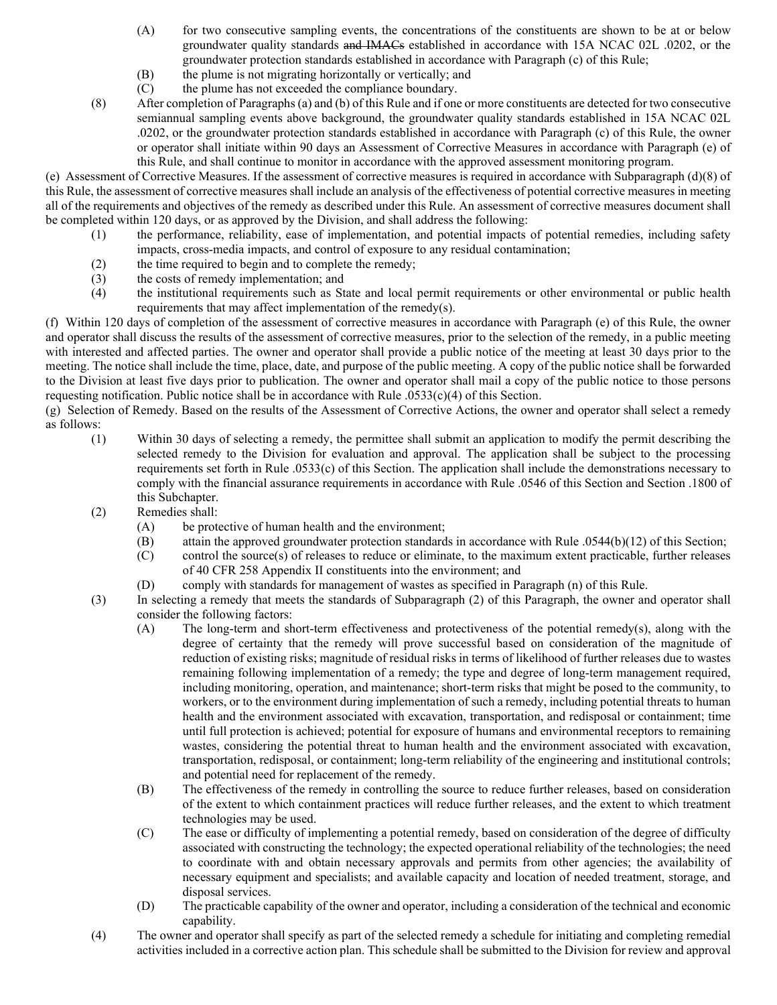- (A) for two consecutive sampling events, the concentrations of the constituents are shown to be at or below groundwater quality standards and IMACs established in accordance with 15A NCAC 02L .0202, or the groundwater protection standards established in accordance with Paragraph (c) of this Rule;
- (B) the plume is not migrating horizontally or vertically; and
- (C) the plume has not exceeded the compliance boundary.
- (8) After completion of Paragraphs (a) and (b) of this Rule and if one or more constituents are detected for two consecutive semiannual sampling events above background, the groundwater quality standards established in 15A NCAC 02L .0202, or the groundwater protection standards established in accordance with Paragraph (c) of this Rule, the owner or operator shall initiate within 90 days an Assessment of Corrective Measures in accordance with Paragraph (e) of this Rule, and shall continue to monitor in accordance with the approved assessment monitoring program.

(e) Assessment of Corrective Measures. If the assessment of corrective measures is required in accordance with Subparagraph (d)(8) of this Rule, the assessment of corrective measures shall include an analysis of the effectiveness of potential corrective measures in meeting all of the requirements and objectives of the remedy as described under this Rule. An assessment of corrective measures document shall be completed within 120 days, or as approved by the Division, and shall address the following:

- (1) the performance, reliability, ease of implementation, and potential impacts of potential remedies, including safety impacts, cross-media impacts, and control of exposure to any residual contamination;
- (2) the time required to begin and to complete the remedy;
- (3) the costs of remedy implementation; and<br>(4) the institutional requirements such as St
- the institutional requirements such as State and local permit requirements or other environmental or public health requirements that may affect implementation of the remedy(s).

(f) Within 120 days of completion of the assessment of corrective measures in accordance with Paragraph (e) of this Rule, the owner and operator shall discuss the results of the assessment of corrective measures, prior to the selection of the remedy, in a public meeting with interested and affected parties. The owner and operator shall provide a public notice of the meeting at least 30 days prior to the meeting. The notice shall include the time, place, date, and purpose of the public meeting. A copy of the public notice shall be forwarded to the Division at least five days prior to publication. The owner and operator shall mail a copy of the public notice to those persons requesting notification. Public notice shall be in accordance with Rule .0533(c)(4) of this Section.

(g) Selection of Remedy. Based on the results of the Assessment of Corrective Actions, the owner and operator shall select a remedy as follows:

- (1) Within 30 days of selecting a remedy, the permittee shall submit an application to modify the permit describing the selected remedy to the Division for evaluation and approval. The application shall be subject to the processing requirements set forth in Rule .0533(c) of this Section. The application shall include the demonstrations necessary to comply with the financial assurance requirements in accordance with Rule .0546 of this Section and Section .1800 of this Subchapter.
- (2) Remedies shall:
	- (A) be protective of human health and the environment;
	- (B) attain the approved groundwater protection standards in accordance with Rule .0544(b)(12) of this Section;
	- (C) control the source(s) of releases to reduce or eliminate, to the maximum extent practicable, further releases of 40 CFR 258 Appendix II constituents into the environment; and
	- (D) comply with standards for management of wastes as specified in Paragraph (n) of this Rule.
- (3) In selecting a remedy that meets the standards of Subparagraph (2) of this Paragraph, the owner and operator shall consider the following factors:
	- (A) The long-term and short-term effectiveness and protectiveness of the potential remedy(s), along with the degree of certainty that the remedy will prove successful based on consideration of the magnitude of reduction of existing risks; magnitude of residual risks in terms of likelihood of further releases due to wastes remaining following implementation of a remedy; the type and degree of long-term management required, including monitoring, operation, and maintenance; short-term risks that might be posed to the community, to workers, or to the environment during implementation of such a remedy, including potential threats to human health and the environment associated with excavation, transportation, and redisposal or containment; time until full protection is achieved; potential for exposure of humans and environmental receptors to remaining wastes, considering the potential threat to human health and the environment associated with excavation, transportation, redisposal, or containment; long-term reliability of the engineering and institutional controls; and potential need for replacement of the remedy.
	- (B) The effectiveness of the remedy in controlling the source to reduce further releases, based on consideration of the extent to which containment practices will reduce further releases, and the extent to which treatment technologies may be used.
	- (C) The ease or difficulty of implementing a potential remedy, based on consideration of the degree of difficulty associated with constructing the technology; the expected operational reliability of the technologies; the need to coordinate with and obtain necessary approvals and permits from other agencies; the availability of necessary equipment and specialists; and available capacity and location of needed treatment, storage, and disposal services.
	- (D) The practicable capability of the owner and operator, including a consideration of the technical and economic capability.
- (4) The owner and operator shall specify as part of the selected remedy a schedule for initiating and completing remedial activities included in a corrective action plan. This schedule shall be submitted to the Division for review and approval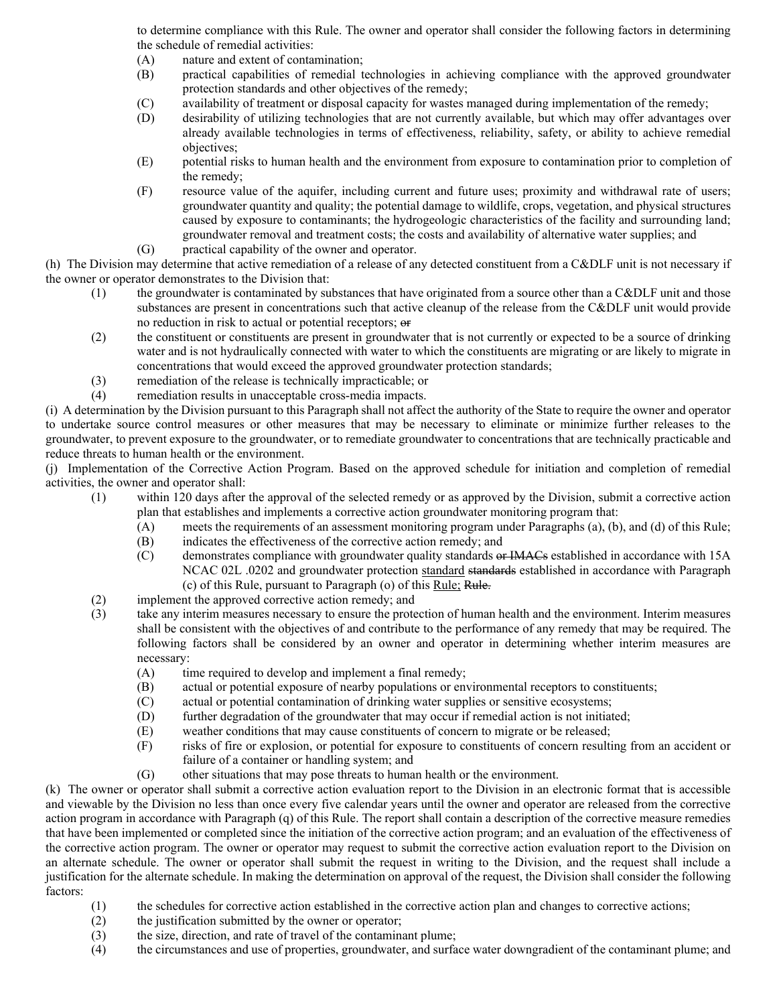to determine compliance with this Rule. The owner and operator shall consider the following factors in determining the schedule of remedial activities:

(A) nature and extent of contamination;

- (B) practical capabilities of remedial technologies in achieving compliance with the approved groundwater protection standards and other objectives of the remedy;
- (C) availability of treatment or disposal capacity for wastes managed during implementation of the remedy;
- (D) desirability of utilizing technologies that are not currently available, but which may offer advantages over already available technologies in terms of effectiveness, reliability, safety, or ability to achieve remedial objectives;
- (E) potential risks to human health and the environment from exposure to contamination prior to completion of the remedy;
- (F) resource value of the aquifer, including current and future uses; proximity and withdrawal rate of users; groundwater quantity and quality; the potential damage to wildlife, crops, vegetation, and physical structures caused by exposure to contaminants; the hydrogeologic characteristics of the facility and surrounding land; groundwater removal and treatment costs; the costs and availability of alternative water supplies; and
- (G) practical capability of the owner and operator.

(h) The Division may determine that active remediation of a release of any detected constituent from a C&DLF unit is not necessary if the owner or operator demonstrates to the Division that:

- $(1)$  the groundwater is contaminated by substances that have originated from a source other than a C&DLF unit and those substances are present in concentrations such that active cleanup of the release from the C&DLF unit would provide no reduction in risk to actual or potential receptors;  $\Theta$
- (2) the constituent or constituents are present in groundwater that is not currently or expected to be a source of drinking water and is not hydraulically connected with water to which the constituents are migrating or are likely to migrate in concentrations that would exceed the approved groundwater protection standards;
- (3) remediation of the release is technically impracticable; or
- (4) remediation results in unacceptable cross-media impacts.

(i) A determination by the Division pursuant to this Paragraph shall not affect the authority of the State to require the owner and operator to undertake source control measures or other measures that may be necessary to eliminate or minimize further releases to the groundwater, to prevent exposure to the groundwater, or to remediate groundwater to concentrations that are technically practicable and reduce threats to human health or the environment.

(j) Implementation of the Corrective Action Program. Based on the approved schedule for initiation and completion of remedial activities, the owner and operator shall:

- (1) within 120 days after the approval of the selected remedy or as approved by the Division, submit a corrective action plan that establishes and implements a corrective action groundwater monitoring program that:
	- (A) meets the requirements of an assessment monitoring program under Paragraphs (a), (b), and (d) of this Rule;
	- (B) indicates the effectiveness of the corrective action remedy; and
	- (C) demonstrates compliance with groundwater quality standards or IMACs established in accordance with 15A NCAC 02L .0202 and groundwater protection standard standards established in accordance with Paragraph (c) of this Rule, pursuant to Paragraph (o) of this Rule; Rule.
- (2) implement the approved corrective action remedy; and
- (3) take any interim measures necessary to ensure the protection of human health and the environment. Interim measures shall be consistent with the objectives of and contribute to the performance of any remedy that may be required. The following factors shall be considered by an owner and operator in determining whether interim measures are necessary:
	- (A) time required to develop and implement a final remedy;
	- (B) actual or potential exposure of nearby populations or environmental receptors to constituents;
	- (C) actual or potential contamination of drinking water supplies or sensitive ecosystems;
	- (D) further degradation of the groundwater that may occur if remedial action is not initiated;
	- (E) weather conditions that may cause constituents of concern to migrate or be released;
	- (F) risks of fire or explosion, or potential for exposure to constituents of concern resulting from an accident or failure of a container or handling system; and
	- (G) other situations that may pose threats to human health or the environment.

(k) The owner or operator shall submit a corrective action evaluation report to the Division in an electronic format that is accessible and viewable by the Division no less than once every five calendar years until the owner and operator are released from the corrective action program in accordance with Paragraph (q) of this Rule. The report shall contain a description of the corrective measure remedies that have been implemented or completed since the initiation of the corrective action program; and an evaluation of the effectiveness of the corrective action program. The owner or operator may request to submit the corrective action evaluation report to the Division on an alternate schedule. The owner or operator shall submit the request in writing to the Division, and the request shall include a justification for the alternate schedule. In making the determination on approval of the request, the Division shall consider the following factors:

- (1) the schedules for corrective action established in the corrective action plan and changes to corrective actions;
- (2) the justification submitted by the owner or operator;
- (3) the size, direction, and rate of travel of the contaminant plume;<br>(4) the circumstances and use of properties, groundwater, and surfa
- the circumstances and use of properties, groundwater, and surface water downgradient of the contaminant plume; and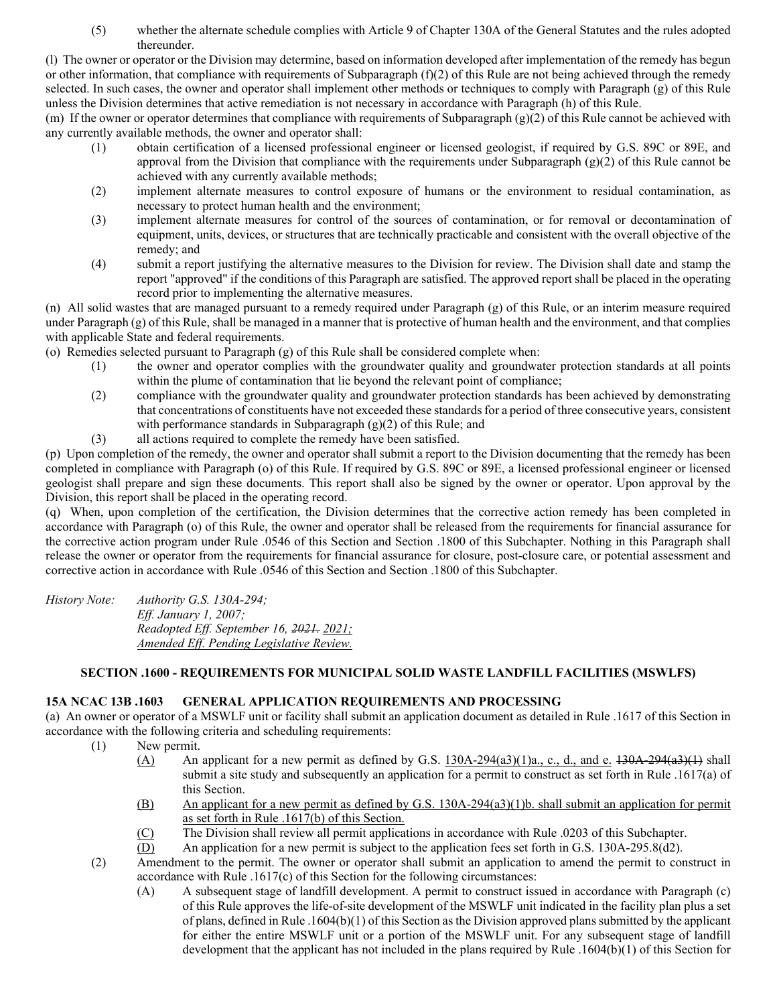(5) whether the alternate schedule complies with Article 9 of Chapter 130A of the General Statutes and the rules adopted thereunder.

(l) The owner or operator or the Division may determine, based on information developed after implementation of the remedy has begun or other information, that compliance with requirements of Subparagraph (f)(2) of this Rule are not being achieved through the remedy selected. In such cases, the owner and operator shall implement other methods or techniques to comply with Paragraph (g) of this Rule unless the Division determines that active remediation is not necessary in accordance with Paragraph (h) of this Rule.

(m) If the owner or operator determines that compliance with requirements of Subparagraph (g)(2) of this Rule cannot be achieved with any currently available methods, the owner and operator shall:

- (1) obtain certification of a licensed professional engineer or licensed geologist, if required by G.S. 89C or 89E, and approval from the Division that compliance with the requirements under Subparagraph (g)(2) of this Rule cannot be achieved with any currently available methods;
- (2) implement alternate measures to control exposure of humans or the environment to residual contamination, as necessary to protect human health and the environment;
- (3) implement alternate measures for control of the sources of contamination, or for removal or decontamination of equipment, units, devices, or structures that are technically practicable and consistent with the overall objective of the remedy; and
- (4) submit a report justifying the alternative measures to the Division for review. The Division shall date and stamp the report "approved" if the conditions of this Paragraph are satisfied. The approved report shall be placed in the operating record prior to implementing the alternative measures.

(n) All solid wastes that are managed pursuant to a remedy required under Paragraph (g) of this Rule, or an interim measure required under Paragraph (g) of this Rule, shall be managed in a manner that is protective of human health and the environment, and that complies with applicable State and federal requirements.

(o) Remedies selected pursuant to Paragraph (g) of this Rule shall be considered complete when:

- (1) the owner and operator complies with the groundwater quality and groundwater protection standards at all points within the plume of contamination that lie beyond the relevant point of compliance;
- (2) compliance with the groundwater quality and groundwater protection standards has been achieved by demonstrating that concentrations of constituents have not exceeded these standards for a period of three consecutive years, consistent with performance standards in Subparagraph  $(g)(2)$  of this Rule; and
- (3) all actions required to complete the remedy have been satisfied.

(p) Upon completion of the remedy, the owner and operator shall submit a report to the Division documenting that the remedy has been completed in compliance with Paragraph (o) of this Rule. If required by G.S. 89C or 89E, a licensed professional engineer or licensed geologist shall prepare and sign these documents. This report shall also be signed by the owner or operator. Upon approval by the Division, this report shall be placed in the operating record.

(q) When, upon completion of the certification, the Division determines that the corrective action remedy has been completed in accordance with Paragraph (o) of this Rule, the owner and operator shall be released from the requirements for financial assurance for the corrective action program under Rule .0546 of this Section and Section .1800 of this Subchapter. Nothing in this Paragraph shall release the owner or operator from the requirements for financial assurance for closure, post-closure care, or potential assessment and corrective action in accordance with Rule .0546 of this Section and Section .1800 of this Subchapter.

*History Note: Authority G.S. 130A-294; Eff. January 1, 2007; Readopted Eff. September 16, 2021. 2021; Amended Eff. Pending Legislative Review.*

### **SECTION .1600 - REQUIREMENTS FOR MUNICIPAL SOLID WASTE LANDFILL FACILITIES (MSWLFS)**

### **15A NCAC 13B .1603 GENERAL APPLICATION REQUIREMENTS AND PROCESSING**

(a) An owner or operator of a MSWLF unit or facility shall submit an application document as detailed in Rule .1617 of this Section in accordance with the following criteria and scheduling requirements:

- (1) New permit.
	- (A) An applicant for a new permit as defined by G.S.  $130A-294(a3)(1)a$ , c., d., and e.  $130A-294(a3)(1)$  shall submit a site study and subsequently an application for a permit to construct as set forth in Rule .1617(a) of this Section.
	- (B) An applicant for a new permit as defined by G.S. 130A-294(a3)(1)b. shall submit an application for permit as set forth in Rule .1617(b) of this Section.
	- (C) The Division shall review all permit applications in accordance with Rule .0203 of this Subchapter.
	- (D) An application for a new permit is subject to the application fees set forth in G.S. 130A-295.8(d2).
- (2) Amendment to the permit. The owner or operator shall submit an application to amend the permit to construct in accordance with Rule .1617(c) of this Section for the following circumstances:
	- (A) A subsequent stage of landfill development. A permit to construct issued in accordance with Paragraph (c) of this Rule approves the life-of-site development of the MSWLF unit indicated in the facility plan plus a set of plans, defined in Rule .1604(b)(1) of this Section as the Division approved plans submitted by the applicant for either the entire MSWLF unit or a portion of the MSWLF unit. For any subsequent stage of landfill development that the applicant has not included in the plans required by Rule .1604(b)(1) of this Section for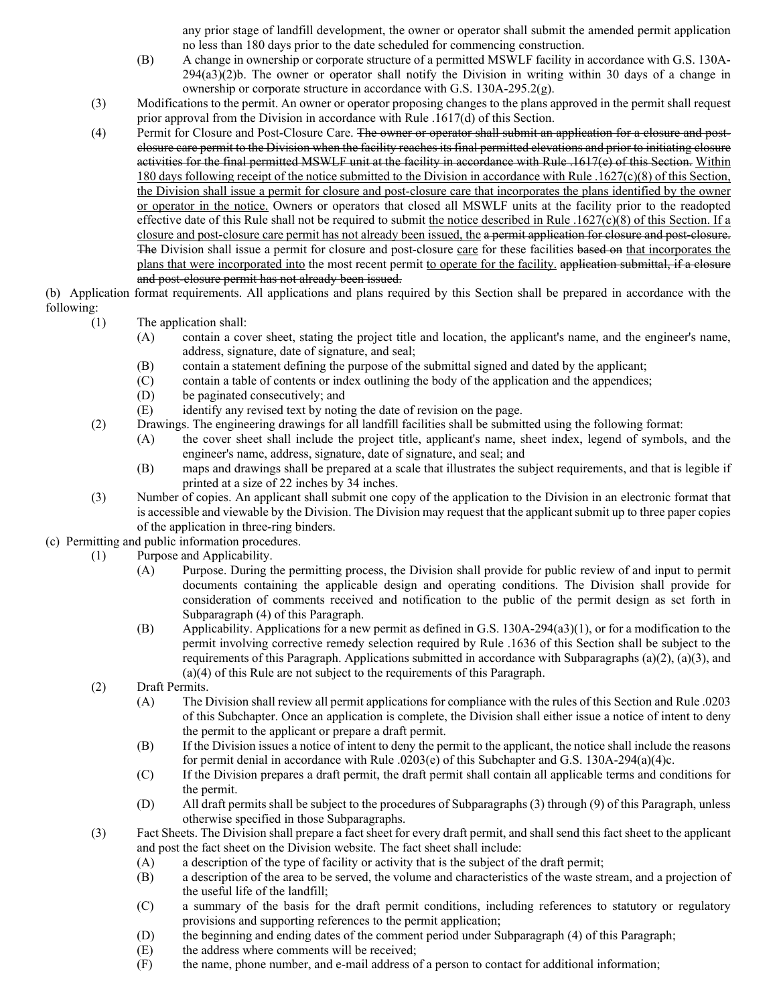any prior stage of landfill development, the owner or operator shall submit the amended permit application no less than 180 days prior to the date scheduled for commencing construction.

- (B) A change in ownership or corporate structure of a permitted MSWLF facility in accordance with G.S. 130A-294(a3)(2)b. The owner or operator shall notify the Division in writing within 30 days of a change in ownership or corporate structure in accordance with G.S. 130A-295.2(g).
- (3) Modifications to the permit. An owner or operator proposing changes to the plans approved in the permit shall request prior approval from the Division in accordance with Rule .1617(d) of this Section.
- (4) Permit for Closure and Post-Closure Care. The owner or operator shall submit an application for a closure and postclosure care permit to the Division when the facility reaches its final permitted elevations and prior to initiating closure activities for the final permitted MSWLF unit at the facility in accordance with Rule .1617(e) of this Section. Within 180 days following receipt of the notice submitted to the Division in accordance with Rule .1627(c)(8) of this Section, the Division shall issue a permit for closure and post-closure care that incorporates the plans identified by the owner or operator in the notice. Owners or operators that closed all MSWLF units at the facility prior to the readopted effective date of this Rule shall not be required to submit the notice described in Rule  $.1627(c)(8)$  of this Section. If a closure and post-closure care permit has not already been issued, the a permit application for closure and post-closure. The Division shall issue a permit for closure and post-closure care for these facilities based on that incorporates the plans that were incorporated into the most recent permit to operate for the facility. application submittal, if a closure and post-closure permit has not already been issued.

### (b) Application format requirements. All applications and plans required by this Section shall be prepared in accordance with the following:

- (1) The application shall:
	- (A) contain a cover sheet, stating the project title and location, the applicant's name, and the engineer's name, address, signature, date of signature, and seal;
	- (B) contain a statement defining the purpose of the submittal signed and dated by the applicant;<br>(C) contain a table of contents or index outlining the body of the application and the appendices.
	- contain a table of contents or index outlining the body of the application and the appendices;
	- (D) be paginated consecutively; and
	- (E) identify any revised text by noting the date of revision on the page.
- (2) Drawings. The engineering drawings for all landfill facilities shall be submitted using the following format:
	- (A) the cover sheet shall include the project title, applicant's name, sheet index, legend of symbols, and the engineer's name, address, signature, date of signature, and seal; and
	- (B) maps and drawings shall be prepared at a scale that illustrates the subject requirements, and that is legible if printed at a size of 22 inches by 34 inches.
- (3) Number of copies. An applicant shall submit one copy of the application to the Division in an electronic format that is accessible and viewable by the Division. The Division may request that the applicant submit up to three paper copies of the application in three-ring binders.
- (c) Permitting and public information procedures.
	- (1) Purpose and Applicability.
		- (A) Purpose. During the permitting process, the Division shall provide for public review of and input to permit documents containing the applicable design and operating conditions. The Division shall provide for consideration of comments received and notification to the public of the permit design as set forth in Subparagraph (4) of this Paragraph.
		- (B) Applicability. Applications for a new permit as defined in G.S. 130A-294(a3)(1), or for a modification to the permit involving corrective remedy selection required by Rule .1636 of this Section shall be subject to the requirements of this Paragraph. Applications submitted in accordance with Subparagraphs (a)(2), (a)(3), and (a)(4) of this Rule are not subject to the requirements of this Paragraph.
		- (2) Draft Permits.
			- (A) The Division shall review all permit applications for compliance with the rules of this Section and Rule .0203 of this Subchapter. Once an application is complete, the Division shall either issue a notice of intent to deny the permit to the applicant or prepare a draft permit.
			- (B) If the Division issues a notice of intent to deny the permit to the applicant, the notice shall include the reasons for permit denial in accordance with Rule .0203(e) of this Subchapter and G.S. 130A-294(a)(4)c.
			- (C) If the Division prepares a draft permit, the draft permit shall contain all applicable terms and conditions for the permit.
			- (D) All draft permits shall be subject to the procedures of Subparagraphs (3) through (9) of this Paragraph, unless otherwise specified in those Subparagraphs.
		- (3) Fact Sheets. The Division shall prepare a fact sheet for every draft permit, and shall send this fact sheet to the applicant and post the fact sheet on the Division website. The fact sheet shall include:
			- (A) a description of the type of facility or activity that is the subject of the draft permit;
			- (B) a description of the area to be served, the volume and characteristics of the waste stream, and a projection of the useful life of the landfill;
			- (C) a summary of the basis for the draft permit conditions, including references to statutory or regulatory provisions and supporting references to the permit application;
			- (D) the beginning and ending dates of the comment period under Subparagraph (4) of this Paragraph;
			- (E) the address where comments will be received;
			- (F) the name, phone number, and e-mail address of a person to contact for additional information;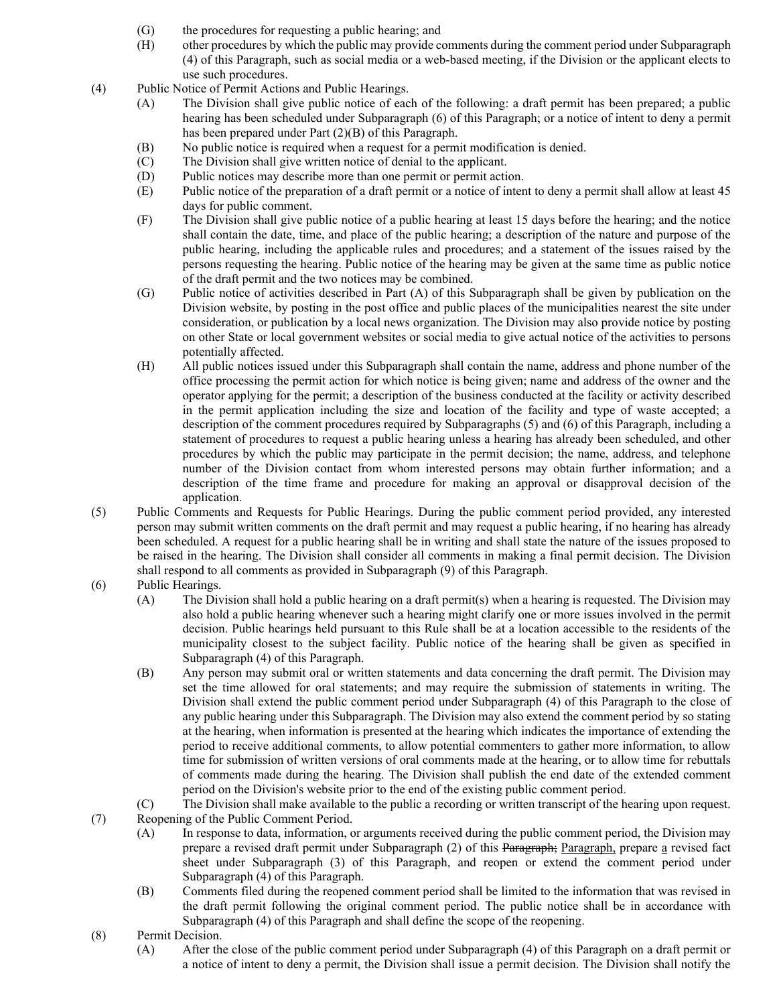- (G) the procedures for requesting a public hearing; and
- (H) other procedures by which the public may provide comments during the comment period under Subparagraph (4) of this Paragraph, such as social media or a web-based meeting, if the Division or the applicant elects to use such procedures.
- (4) Public Notice of Permit Actions and Public Hearings.
	- (A) The Division shall give public notice of each of the following: a draft permit has been prepared; a public hearing has been scheduled under Subparagraph (6) of this Paragraph; or a notice of intent to deny a permit has been prepared under Part (2)(B) of this Paragraph.
	- (B) No public notice is required when a request for a permit modification is denied.
	- (C) The Division shall give written notice of denial to the applicant.
	- (D) Public notices may describe more than one permit or permit action.
	- (E) Public notice of the preparation of a draft permit or a notice of intent to deny a permit shall allow at least 45 days for public comment.
	- (F) The Division shall give public notice of a public hearing at least 15 days before the hearing; and the notice shall contain the date, time, and place of the public hearing; a description of the nature and purpose of the public hearing, including the applicable rules and procedures; and a statement of the issues raised by the persons requesting the hearing. Public notice of the hearing may be given at the same time as public notice of the draft permit and the two notices may be combined.
	- (G) Public notice of activities described in Part (A) of this Subparagraph shall be given by publication on the Division website, by posting in the post office and public places of the municipalities nearest the site under consideration, or publication by a local news organization. The Division may also provide notice by posting on other State or local government websites or social media to give actual notice of the activities to persons potentially affected.
	- (H) All public notices issued under this Subparagraph shall contain the name, address and phone number of the office processing the permit action for which notice is being given; name and address of the owner and the operator applying for the permit; a description of the business conducted at the facility or activity described in the permit application including the size and location of the facility and type of waste accepted; a description of the comment procedures required by Subparagraphs (5) and (6) of this Paragraph, including a statement of procedures to request a public hearing unless a hearing has already been scheduled, and other procedures by which the public may participate in the permit decision; the name, address, and telephone number of the Division contact from whom interested persons may obtain further information; and a description of the time frame and procedure for making an approval or disapproval decision of the application.
- (5) Public Comments and Requests for Public Hearings. During the public comment period provided, any interested person may submit written comments on the draft permit and may request a public hearing, if no hearing has already been scheduled. A request for a public hearing shall be in writing and shall state the nature of the issues proposed to be raised in the hearing. The Division shall consider all comments in making a final permit decision. The Division shall respond to all comments as provided in Subparagraph (9) of this Paragraph.
- (6) Public Hearings.
	- (A) The Division shall hold a public hearing on a draft permit(s) when a hearing is requested. The Division may also hold a public hearing whenever such a hearing might clarify one or more issues involved in the permit decision. Public hearings held pursuant to this Rule shall be at a location accessible to the residents of the municipality closest to the subject facility. Public notice of the hearing shall be given as specified in Subparagraph (4) of this Paragraph.
	- (B) Any person may submit oral or written statements and data concerning the draft permit. The Division may set the time allowed for oral statements; and may require the submission of statements in writing. The Division shall extend the public comment period under Subparagraph (4) of this Paragraph to the close of any public hearing under this Subparagraph. The Division may also extend the comment period by so stating at the hearing, when information is presented at the hearing which indicates the importance of extending the period to receive additional comments, to allow potential commenters to gather more information, to allow time for submission of written versions of oral comments made at the hearing, or to allow time for rebuttals of comments made during the hearing. The Division shall publish the end date of the extended comment period on the Division's website prior to the end of the existing public comment period.
	- (C) The Division shall make available to the public a recording or written transcript of the hearing upon request.
- (7) Reopening of the Public Comment Period.
	- (A) In response to data, information, or arguments received during the public comment period, the Division may prepare a revised draft permit under Subparagraph (2) of this Paragraph; Paragraph, prepare a revised fact sheet under Subparagraph (3) of this Paragraph, and reopen or extend the comment period under Subparagraph (4) of this Paragraph.
	- (B) Comments filed during the reopened comment period shall be limited to the information that was revised in the draft permit following the original comment period. The public notice shall be in accordance with Subparagraph (4) of this Paragraph and shall define the scope of the reopening.
- (8) Permit Decision.
	- (A) After the close of the public comment period under Subparagraph (4) of this Paragraph on a draft permit or a notice of intent to deny a permit, the Division shall issue a permit decision. The Division shall notify the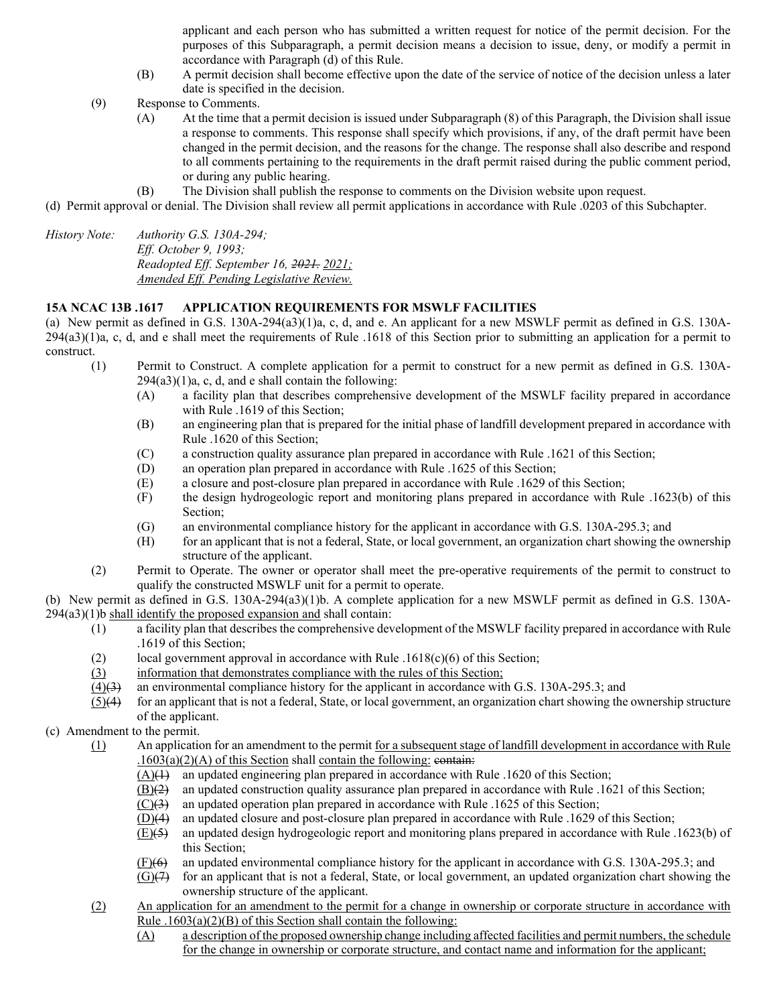applicant and each person who has submitted a written request for notice of the permit decision. For the purposes of this Subparagraph, a permit decision means a decision to issue, deny, or modify a permit in accordance with Paragraph (d) of this Rule.

- (B) A permit decision shall become effective upon the date of the service of notice of the decision unless a later date is specified in the decision.
- (9) Response to Comments.
	- (A) At the time that a permit decision is issued under Subparagraph (8) of this Paragraph, the Division shall issue a response to comments. This response shall specify which provisions, if any, of the draft permit have been changed in the permit decision, and the reasons for the change. The response shall also describe and respond to all comments pertaining to the requirements in the draft permit raised during the public comment period, or during any public hearing.
	- (B) The Division shall publish the response to comments on the Division website upon request.
- (d) Permit approval or denial. The Division shall review all permit applications in accordance with Rule .0203 of this Subchapter.

*History Note: Authority G.S. 130A-294; Eff. October 9, 1993; Readopted Eff. September 16, 2021. 2021; Amended Eff. Pending Legislative Review.*

#### **15A NCAC 13B .1617 APPLICATION REQUIREMENTS FOR MSWLF FACILITIES**

(a) New permit as defined in G.S. 130A-294(a3)(1)a, c, d, and e. An applicant for a new MSWLF permit as defined in G.S. 130A- $294(a3)(1)$ a, c, d, and e shall meet the requirements of Rule .1618 of this Section prior to submitting an application for a permit to construct.

- (1) Permit to Construct. A complete application for a permit to construct for a new permit as defined in G.S. 130A- $294(a3)(1)a$ , c, d, and e shall contain the following:
	- (A) a facility plan that describes comprehensive development of the MSWLF facility prepared in accordance with Rule .1619 of this Section;
	- (B) an engineering plan that is prepared for the initial phase of landfill development prepared in accordance with Rule .1620 of this Section;
	- (C) a construction quality assurance plan prepared in accordance with Rule .1621 of this Section;
	- (D) an operation plan prepared in accordance with Rule .1625 of this Section;
	- (E) a closure and post-closure plan prepared in accordance with Rule .1629 of this Section;
	- (F) the design hydrogeologic report and monitoring plans prepared in accordance with Rule .1623(b) of this Section;
	- (G) an environmental compliance history for the applicant in accordance with G.S. 130A-295.3; and
	- (H) for an applicant that is not a federal, State, or local government, an organization chart showing the ownership structure of the applicant.
- (2) Permit to Operate. The owner or operator shall meet the pre-operative requirements of the permit to construct to qualify the constructed MSWLF unit for a permit to operate.

(b) New permit as defined in G.S. 130A-294(a3)(1)b. A complete application for a new MSWLF permit as defined in G.S. 130A- $294(a3)(1)$ b shall identify the proposed expansion and shall contain:

- (1) a facility plan that describes the comprehensive development of the MSWLF facility prepared in accordance with Rule .1619 of this Section;
- (2) local government approval in accordance with Rule .1618(c)(6) of this Section;
- (3) information that demonstrates compliance with the rules of this Section;
- $(4)(3)$  an environmental compliance history for the applicant in accordance with G.S. 130A-295.3; and
- $(5)(4)$  for an applicant that is not a federal, State, or local government, an organization chart showing the ownership structure of the applicant.
- (c) Amendment to the permit.
	- (1) An application for an amendment to the permit for a subsequent stage of landfill development in accordance with Rule  $.1603(a)(2)(A)$  of this Section shall contain the following: contain:
		- (A)(1) an updated engineering plan prepared in accordance with Rule .1620 of this Section;
		- $\underline{(B)(2)}$  an updated construction quality assurance plan prepared in accordance with Rule .1621 of this Section;
		- $(C)(3)$  an updated operation plan prepared in accordance with Rule .1625 of this Section;
		- (D)(4) an updated closure and post-closure plan prepared in accordance with Rule .1629 of this Section;
		- $(E)(5)$  an updated design hydrogeologic report and monitoring plans prepared in accordance with Rule .1623(b) of this Section;
		- (F)(6) an updated environmental compliance history for the applicant in accordance with G.S. 130A-295.3; and
		- $(G)(7)$  for an applicant that is not a federal, State, or local government, an updated organization chart showing the ownership structure of the applicant.
	- (2) An application for an amendment to the permit for a change in ownership or corporate structure in accordance with Rule  $.1603(a)(2)(B)$  of this Section shall contain the following:
		- (A) a description of the proposed ownership change including affected facilities and permit numbers, the schedule for the change in ownership or corporate structure, and contact name and information for the applicant;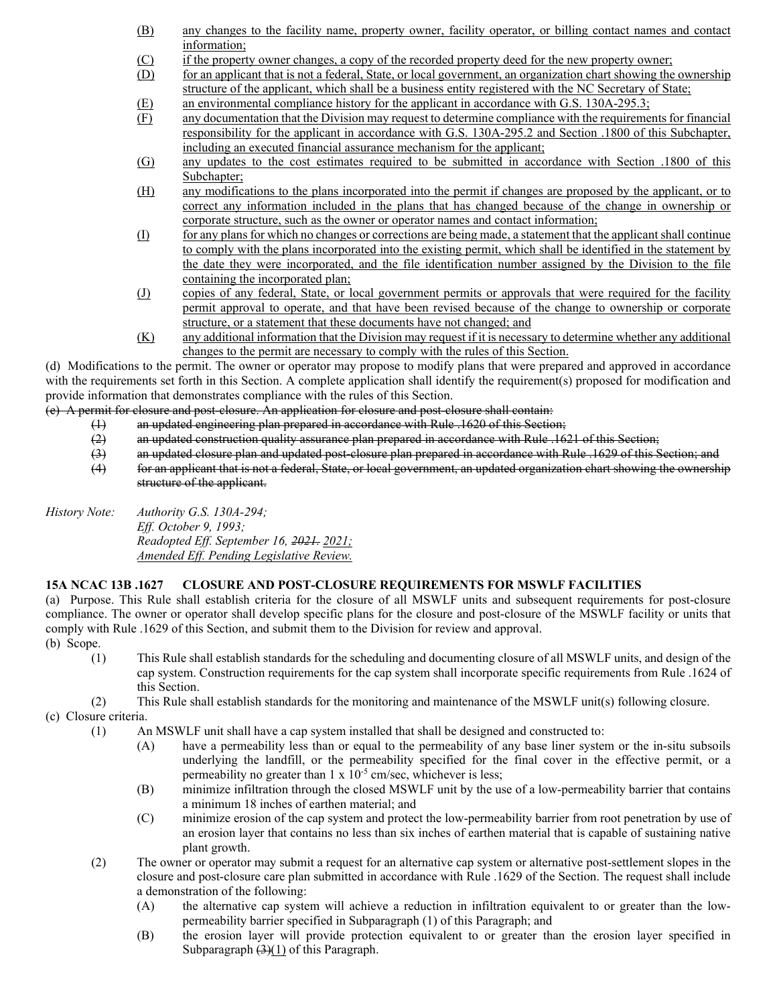- (B) any changes to the facility name, property owner, facility operator, or billing contact names and contact information;
- (C) if the property owner changes, a copy of the recorded property deed for the new property owner;
- (D) for an applicant that is not a federal, State, or local government, an organization chart showing the ownership structure of the applicant, which shall be a business entity registered with the NC Secretary of State;
- $\frac{E}{F}$  an environmental compliance history for the applicant in accordance with G.S. 130A-295.3;<br>
any documentation that the Division may request to determine compliance with the requireme
- any documentation that the Division may request to determine compliance with the requirements for financial responsibility for the applicant in accordance with G.S. 130A-295.2 and Section .1800 of this Subchapter, including an executed financial assurance mechanism for the applicant;
- (G) any updates to the cost estimates required to be submitted in accordance with Section .1800 of this Subchapter;
- (H) any modifications to the plans incorporated into the permit if changes are proposed by the applicant, or to correct any information included in the plans that has changed because of the change in ownership or corporate structure, such as the owner or operator names and contact information;
- (I) for any plans for which no changes or corrections are being made, a statement that the applicant shall continue to comply with the plans incorporated into the existing permit, which shall be identified in the statement by the date they were incorporated, and the file identification number assigned by the Division to the file containing the incorporated plan;
- (J) copies of any federal, State, or local government permits or approvals that were required for the facility permit approval to operate, and that have been revised because of the change to ownership or corporate structure, or a statement that these documents have not changed; and
- (K) any additional information that the Division may request if it is necessary to determine whether any additional changes to the permit are necessary to comply with the rules of this Section.

(d) Modifications to the permit. The owner or operator may propose to modify plans that were prepared and approved in accordance with the requirements set forth in this Section. A complete application shall identify the requirement(s) proposed for modification and provide information that demonstrates compliance with the rules of this Section.

(e) A permit for closure and post-closure. An application for closure and post-closure shall contain:

- (1) an updated engineering plan prepared in accordance with Rule .1620 of this Section;<br>(2) an updated construction quality assurance plan prepared in accordance with Rule .16
	- an updated construction quality assurance plan prepared in accordance with Rule .1621 of this Section;
- $(3)$  an updated closure plan and updated post-closure plan prepared in accordance with Rule .1629 of this Section; and<br> $(4)$  for an applicant that is not a federal. State, or local government, an updated organization cha
- for an applicant that is not a federal, State, or local government, an updated organization chart showing the ownership structure of the applicant.

*History Note: Authority G.S. 130A-294; Eff. October 9, 1993; Readopted Eff. September 16, 2021. 2021; Amended Eff. Pending Legislative Review.*

# **15A NCAC 13B .1627 CLOSURE AND POST-CLOSURE REQUIREMENTS FOR MSWLF FACILITIES**

(a) Purpose. This Rule shall establish criteria for the closure of all MSWLF units and subsequent requirements for post-closure compliance. The owner or operator shall develop specific plans for the closure and post-closure of the MSWLF facility or units that comply with Rule .1629 of this Section, and submit them to the Division for review and approval.

- (b) Scope.
	- (1) This Rule shall establish standards for the scheduling and documenting closure of all MSWLF units, and design of the cap system. Construction requirements for the cap system shall incorporate specific requirements from Rule .1624 of this Section.
	- (2) This Rule shall establish standards for the monitoring and maintenance of the MSWLF unit(s) following closure.

(c) Closure criteria.

- (1) An MSWLF unit shall have a cap system installed that shall be designed and constructed to:
	- (A) have a permeability less than or equal to the permeability of any base liner system or the in-situ subsoils underlying the landfill, or the permeability specified for the final cover in the effective permit, or a permeability no greater than  $1 \times 10^{-5}$  cm/sec, whichever is less;
	- (B) minimize infiltration through the closed MSWLF unit by the use of a low-permeability barrier that contains a minimum 18 inches of earthen material; and
	- (C) minimize erosion of the cap system and protect the low-permeability barrier from root penetration by use of an erosion layer that contains no less than six inches of earthen material that is capable of sustaining native plant growth.
- (2) The owner or operator may submit a request for an alternative cap system or alternative post-settlement slopes in the closure and post-closure care plan submitted in accordance with Rule .1629 of the Section. The request shall include a demonstration of the following:
	- (A) the alternative cap system will achieve a reduction in infiltration equivalent to or greater than the lowpermeability barrier specified in Subparagraph (1) of this Paragraph; and
	- (B) the erosion layer will provide protection equivalent to or greater than the erosion layer specified in Subparagraph  $(3)(1)$  of this Paragraph.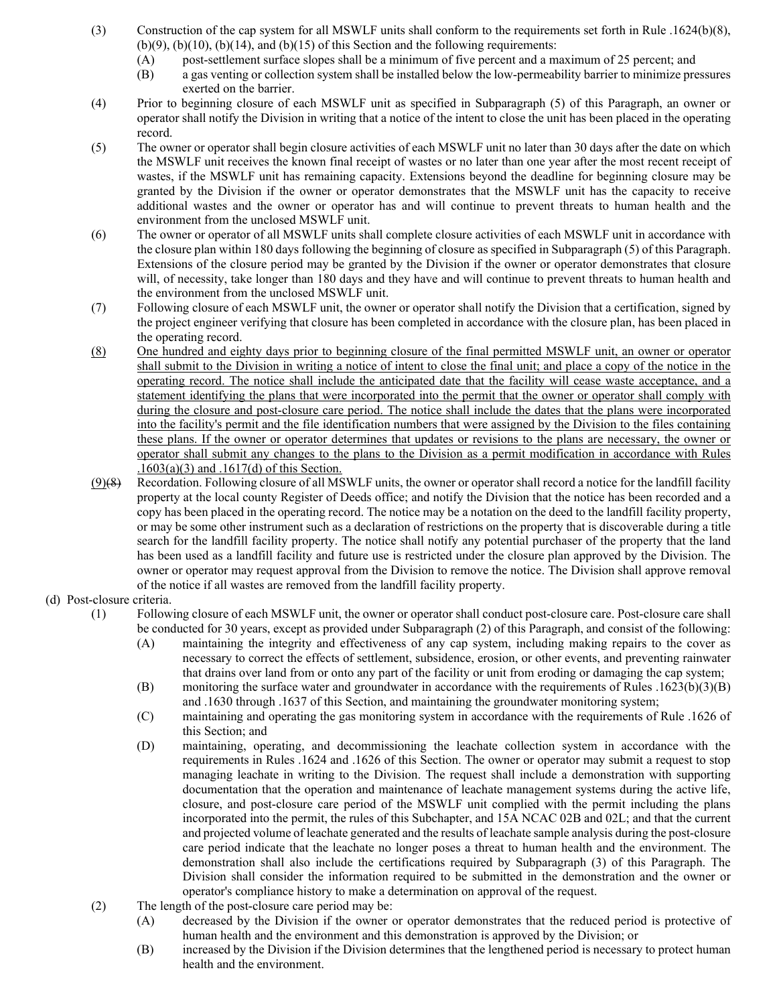- (3) Construction of the cap system for all MSWLF units shall conform to the requirements set forth in Rule .1624(b)(8),  $(b)(9)$ ,  $(b)(10)$ ,  $(b)(14)$ , and  $(b)(15)$  of this Section and the following requirements:
	- (A) post-settlement surface slopes shall be a minimum of five percent and a maximum of 25 percent; and
	- (B) a gas venting or collection system shall be installed below the low-permeability barrier to minimize pressures exerted on the barrier.
- (4) Prior to beginning closure of each MSWLF unit as specified in Subparagraph (5) of this Paragraph, an owner or operator shall notify the Division in writing that a notice of the intent to close the unit has been placed in the operating record.
- (5) The owner or operator shall begin closure activities of each MSWLF unit no later than 30 days after the date on which the MSWLF unit receives the known final receipt of wastes or no later than one year after the most recent receipt of wastes, if the MSWLF unit has remaining capacity. Extensions beyond the deadline for beginning closure may be granted by the Division if the owner or operator demonstrates that the MSWLF unit has the capacity to receive additional wastes and the owner or operator has and will continue to prevent threats to human health and the environment from the unclosed MSWLF unit.
- (6) The owner or operator of all MSWLF units shall complete closure activities of each MSWLF unit in accordance with the closure plan within 180 days following the beginning of closure as specified in Subparagraph (5) of this Paragraph. Extensions of the closure period may be granted by the Division if the owner or operator demonstrates that closure will, of necessity, take longer than 180 days and they have and will continue to prevent threats to human health and the environment from the unclosed MSWLF unit.
- (7) Following closure of each MSWLF unit, the owner or operator shall notify the Division that a certification, signed by the project engineer verifying that closure has been completed in accordance with the closure plan, has been placed in the operating record.
- (8) One hundred and eighty days prior to beginning closure of the final permitted MSWLF unit, an owner or operator shall submit to the Division in writing a notice of intent to close the final unit; and place a copy of the notice in the operating record. The notice shall include the anticipated date that the facility will cease waste acceptance, and a statement identifying the plans that were incorporated into the permit that the owner or operator shall comply with during the closure and post-closure care period. The notice shall include the dates that the plans were incorporated into the facility's permit and the file identification numbers that were assigned by the Division to the files containing these plans. If the owner or operator determines that updates or revisions to the plans are necessary, the owner or operator shall submit any changes to the plans to the Division as a permit modification in accordance with Rules .1603(a)(3) and .1617(d) of this Section.
- $(9)$ (8) Recordation. Following closure of all MSWLF units, the owner or operator shall record a notice for the landfill facility property at the local county Register of Deeds office; and notify the Division that the notice has been recorded and a copy has been placed in the operating record. The notice may be a notation on the deed to the landfill facility property, or may be some other instrument such as a declaration of restrictions on the property that is discoverable during a title search for the landfill facility property. The notice shall notify any potential purchaser of the property that the land has been used as a landfill facility and future use is restricted under the closure plan approved by the Division. The owner or operator may request approval from the Division to remove the notice. The Division shall approve removal of the notice if all wastes are removed from the landfill facility property.

### (d) Post-closure criteria.

- (1) Following closure of each MSWLF unit, the owner or operator shall conduct post-closure care. Post-closure care shall be conducted for 30 years, except as provided under Subparagraph (2) of this Paragraph, and consist of the following:
	- (A) maintaining the integrity and effectiveness of any cap system, including making repairs to the cover as necessary to correct the effects of settlement, subsidence, erosion, or other events, and preventing rainwater that drains over land from or onto any part of the facility or unit from eroding or damaging the cap system;
	- (B) monitoring the surface water and groundwater in accordance with the requirements of Rules .1623(b)(3)(B) and .1630 through .1637 of this Section, and maintaining the groundwater monitoring system;
	- (C) maintaining and operating the gas monitoring system in accordance with the requirements of Rule .1626 of this Section; and
	- (D) maintaining, operating, and decommissioning the leachate collection system in accordance with the requirements in Rules .1624 and .1626 of this Section. The owner or operator may submit a request to stop managing leachate in writing to the Division. The request shall include a demonstration with supporting documentation that the operation and maintenance of leachate management systems during the active life, closure, and post-closure care period of the MSWLF unit complied with the permit including the plans incorporated into the permit, the rules of this Subchapter, and 15A NCAC 02B and 02L; and that the current and projected volume of leachate generated and the results of leachate sample analysis during the post-closure care period indicate that the leachate no longer poses a threat to human health and the environment. The demonstration shall also include the certifications required by Subparagraph (3) of this Paragraph. The Division shall consider the information required to be submitted in the demonstration and the owner or operator's compliance history to make a determination on approval of the request.
- (2) The length of the post-closure care period may be:
	- (A) decreased by the Division if the owner or operator demonstrates that the reduced period is protective of human health and the environment and this demonstration is approved by the Division; or
	- (B) increased by the Division if the Division determines that the lengthened period is necessary to protect human health and the environment.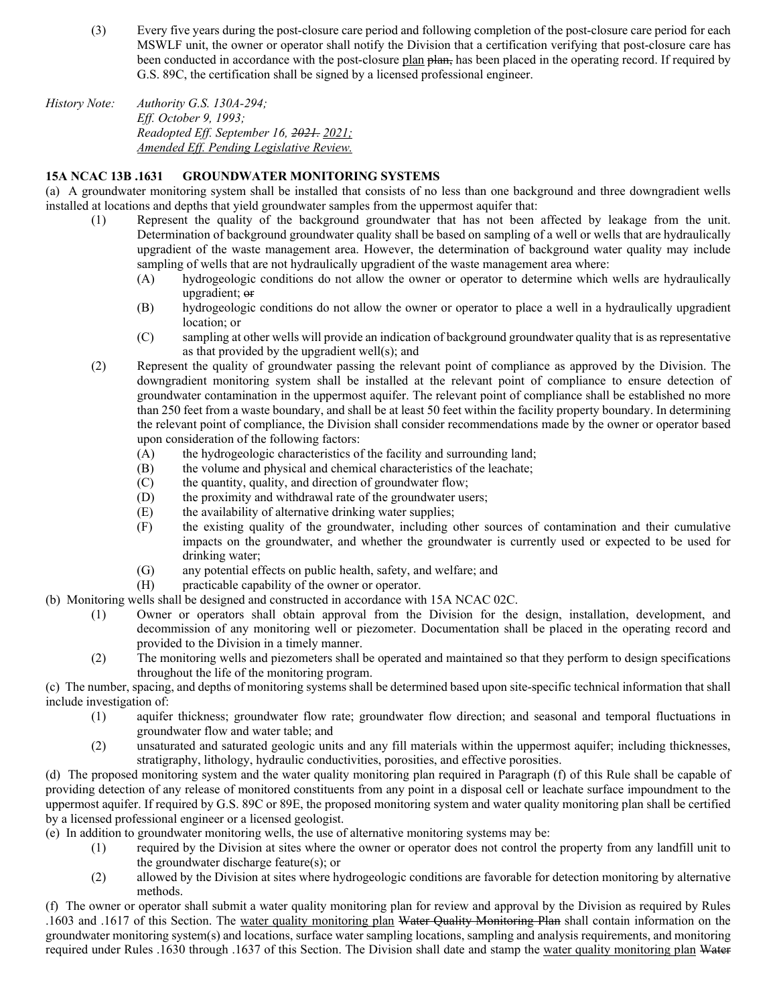- (3) Every five years during the post-closure care period and following completion of the post-closure care period for each MSWLF unit, the owner or operator shall notify the Division that a certification verifying that post-closure care has been conducted in accordance with the post-closure plan plan, has been placed in the operating record. If required by G.S. 89C, the certification shall be signed by a licensed professional engineer.
- *History Note: Authority G.S. 130A-294; Eff. October 9, 1993; Readopted Eff. September 16, 2021. 2021; Amended Eff. Pending Legislative Review.*

#### **15A NCAC 13B .1631 GROUNDWATER MONITORING SYSTEMS**

(a) A groundwater monitoring system shall be installed that consists of no less than one background and three downgradient wells installed at locations and depths that yield groundwater samples from the uppermost aquifer that:

- (1) Represent the quality of the background groundwater that has not been affected by leakage from the unit. Determination of background groundwater quality shall be based on sampling of a well or wells that are hydraulically upgradient of the waste management area. However, the determination of background water quality may include sampling of wells that are not hydraulically upgradient of the waste management area where:
	- (A) hydrogeologic conditions do not allow the owner or operator to determine which wells are hydraulically upgradient; or
	- (B) hydrogeologic conditions do not allow the owner or operator to place a well in a hydraulically upgradient location; or
	- (C) sampling at other wells will provide an indication of background groundwater quality that is as representative as that provided by the upgradient well(s); and
- (2) Represent the quality of groundwater passing the relevant point of compliance as approved by the Division. The downgradient monitoring system shall be installed at the relevant point of compliance to ensure detection of groundwater contamination in the uppermost aquifer. The relevant point of compliance shall be established no more than 250 feet from a waste boundary, and shall be at least 50 feet within the facility property boundary. In determining the relevant point of compliance, the Division shall consider recommendations made by the owner or operator based upon consideration of the following factors:
	- (A) the hydrogeologic characteristics of the facility and surrounding land;<br>(B) the volume and physical and chemical characteristics of the leachate;
	- the volume and physical and chemical characteristics of the leachate;
	- (C) the quantity, quality, and direction of groundwater flow;
	- (D) the proximity and withdrawal rate of the groundwater users;
	- (E) the availability of alternative drinking water supplies;
	- (F) the existing quality of the groundwater, including other sources of contamination and their cumulative impacts on the groundwater, and whether the groundwater is currently used or expected to be used for drinking water;
	- (G) any potential effects on public health, safety, and welfare; and
	- (H) practicable capability of the owner or operator.
- (b) Monitoring wells shall be designed and constructed in accordance with 15A NCAC 02C.
	- (1) Owner or operators shall obtain approval from the Division for the design, installation, development, and decommission of any monitoring well or piezometer. Documentation shall be placed in the operating record and provided to the Division in a timely manner.
	- (2) The monitoring wells and piezometers shall be operated and maintained so that they perform to design specifications throughout the life of the monitoring program.

(c) The number, spacing, and depths of monitoring systems shall be determined based upon site-specific technical information that shall include investigation of:

- (1) aquifer thickness; groundwater flow rate; groundwater flow direction; and seasonal and temporal fluctuations in groundwater flow and water table; and
- (2) unsaturated and saturated geologic units and any fill materials within the uppermost aquifer; including thicknesses, stratigraphy, lithology, hydraulic conductivities, porosities, and effective porosities.

(d) The proposed monitoring system and the water quality monitoring plan required in Paragraph (f) of this Rule shall be capable of providing detection of any release of monitored constituents from any point in a disposal cell or leachate surface impoundment to the uppermost aquifer. If required by G.S. 89C or 89E, the proposed monitoring system and water quality monitoring plan shall be certified by a licensed professional engineer or a licensed geologist.

- (e) In addition to groundwater monitoring wells, the use of alternative monitoring systems may be:
	- (1) required by the Division at sites where the owner or operator does not control the property from any landfill unit to the groundwater discharge feature(s); or
	- (2) allowed by the Division at sites where hydrogeologic conditions are favorable for detection monitoring by alternative methods.

(f) The owner or operator shall submit a water quality monitoring plan for review and approval by the Division as required by Rules .1603 and .1617 of this Section. The water quality monitoring plan Water Quality Monitoring Plan shall contain information on the groundwater monitoring system(s) and locations, surface water sampling locations, sampling and analysis requirements, and monitoring required under Rules .1630 through .1637 of this Section. The Division shall date and stamp the water quality monitoring plan Water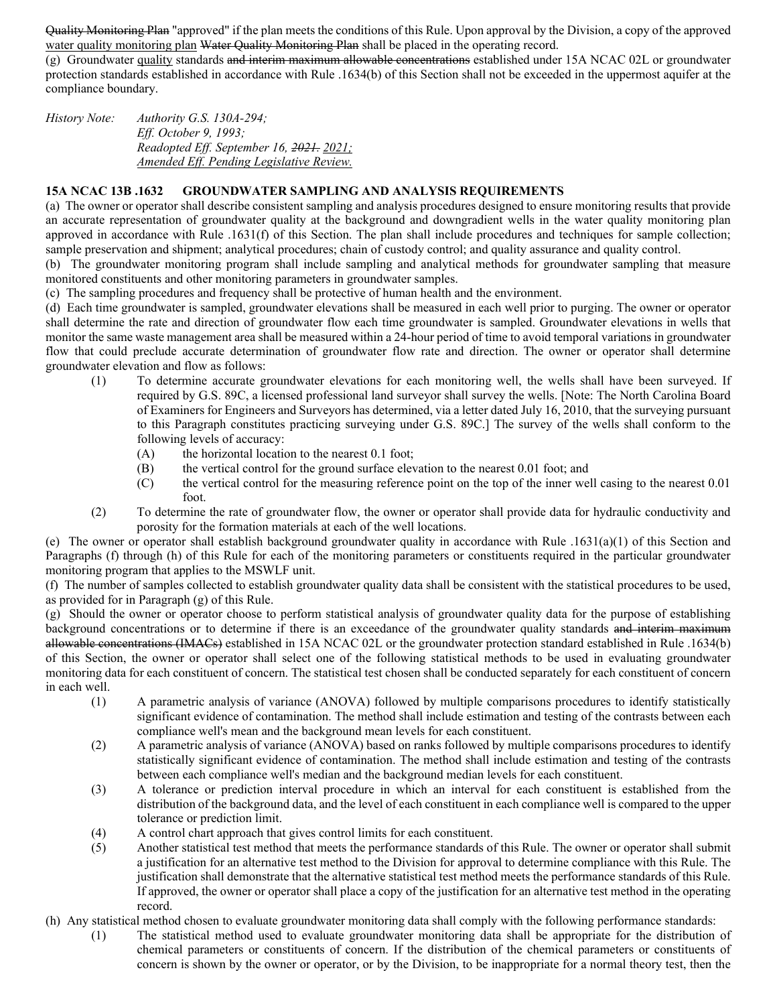Quality Monitoring Plan "approved" if the plan meets the conditions of this Rule. Upon approval by the Division, a copy of the approved water quality monitoring plan Water Quality Monitoring Plan shall be placed in the operating record.

(g) Groundwater quality standards and interim maximum allowable concentrations established under 15A NCAC 02L or groundwater protection standards established in accordance with Rule .1634(b) of this Section shall not be exceeded in the uppermost aquifer at the compliance boundary.

*History Note: Authority G.S. 130A-294; Eff. October 9, 1993; Readopted Eff. September 16, 2021. 2021; Amended Eff. Pending Legislative Review.*

#### **15A NCAC 13B .1632 GROUNDWATER SAMPLING AND ANALYSIS REQUIREMENTS**

(a) The owner or operator shall describe consistent sampling and analysis procedures designed to ensure monitoring results that provide an accurate representation of groundwater quality at the background and downgradient wells in the water quality monitoring plan approved in accordance with Rule .1631(f) of this Section. The plan shall include procedures and techniques for sample collection; sample preservation and shipment; analytical procedures; chain of custody control; and quality assurance and quality control.

(b) The groundwater monitoring program shall include sampling and analytical methods for groundwater sampling that measure monitored constituents and other monitoring parameters in groundwater samples.

(c) The sampling procedures and frequency shall be protective of human health and the environment.

(d) Each time groundwater is sampled, groundwater elevations shall be measured in each well prior to purging. The owner or operator shall determine the rate and direction of groundwater flow each time groundwater is sampled. Groundwater elevations in wells that monitor the same waste management area shall be measured within a 24-hour period of time to avoid temporal variations in groundwater flow that could preclude accurate determination of groundwater flow rate and direction. The owner or operator shall determine groundwater elevation and flow as follows:

- (1) To determine accurate groundwater elevations for each monitoring well, the wells shall have been surveyed. If required by G.S. 89C, a licensed professional land surveyor shall survey the wells. [Note: The North Carolina Board of Examiners for Engineers and Surveyors has determined, via a letter dated July 16, 2010, that the surveying pursuant to this Paragraph constitutes practicing surveying under G.S. 89C.] The survey of the wells shall conform to the following levels of accuracy:
	- (A) the horizontal location to the nearest  $0.1$  foot;<br>(B) the vertical control for the ground surface elevents
	- the vertical control for the ground surface elevation to the nearest 0.01 foot; and
	- (C) the vertical control for the measuring reference point on the top of the inner well casing to the nearest 0.01 foot.
- (2) To determine the rate of groundwater flow, the owner or operator shall provide data for hydraulic conductivity and porosity for the formation materials at each of the well locations.

(e) The owner or operator shall establish background groundwater quality in accordance with Rule .1631(a)(1) of this Section and Paragraphs (f) through (h) of this Rule for each of the monitoring parameters or constituents required in the particular groundwater monitoring program that applies to the MSWLF unit.

(f) The number of samples collected to establish groundwater quality data shall be consistent with the statistical procedures to be used, as provided for in Paragraph (g) of this Rule.

(g) Should the owner or operator choose to perform statistical analysis of groundwater quality data for the purpose of establishing background concentrations or to determine if there is an exceedance of the groundwater quality standards and interim maximum allowable concentrations (IMACs) established in 15A NCAC 02L or the groundwater protection standard established in Rule .1634(b) of this Section, the owner or operator shall select one of the following statistical methods to be used in evaluating groundwater monitoring data for each constituent of concern. The statistical test chosen shall be conducted separately for each constituent of concern in each well.

- (1) A parametric analysis of variance (ANOVA) followed by multiple comparisons procedures to identify statistically significant evidence of contamination. The method shall include estimation and testing of the contrasts between each compliance well's mean and the background mean levels for each constituent.
- (2) A parametric analysis of variance (ANOVA) based on ranks followed by multiple comparisons procedures to identify statistically significant evidence of contamination. The method shall include estimation and testing of the contrasts between each compliance well's median and the background median levels for each constituent.
- (3) A tolerance or prediction interval procedure in which an interval for each constituent is established from the distribution of the background data, and the level of each constituent in each compliance well is compared to the upper tolerance or prediction limit.
- (4) A control chart approach that gives control limits for each constituent.
- (5) Another statistical test method that meets the performance standards of this Rule. The owner or operator shall submit a justification for an alternative test method to the Division for approval to determine compliance with this Rule. The justification shall demonstrate that the alternative statistical test method meets the performance standards of this Rule. If approved, the owner or operator shall place a copy of the justification for an alternative test method in the operating record.
- (h) Any statistical method chosen to evaluate groundwater monitoring data shall comply with the following performance standards:
	- (1) The statistical method used to evaluate groundwater monitoring data shall be appropriate for the distribution of chemical parameters or constituents of concern. If the distribution of the chemical parameters or constituents of concern is shown by the owner or operator, or by the Division, to be inappropriate for a normal theory test, then the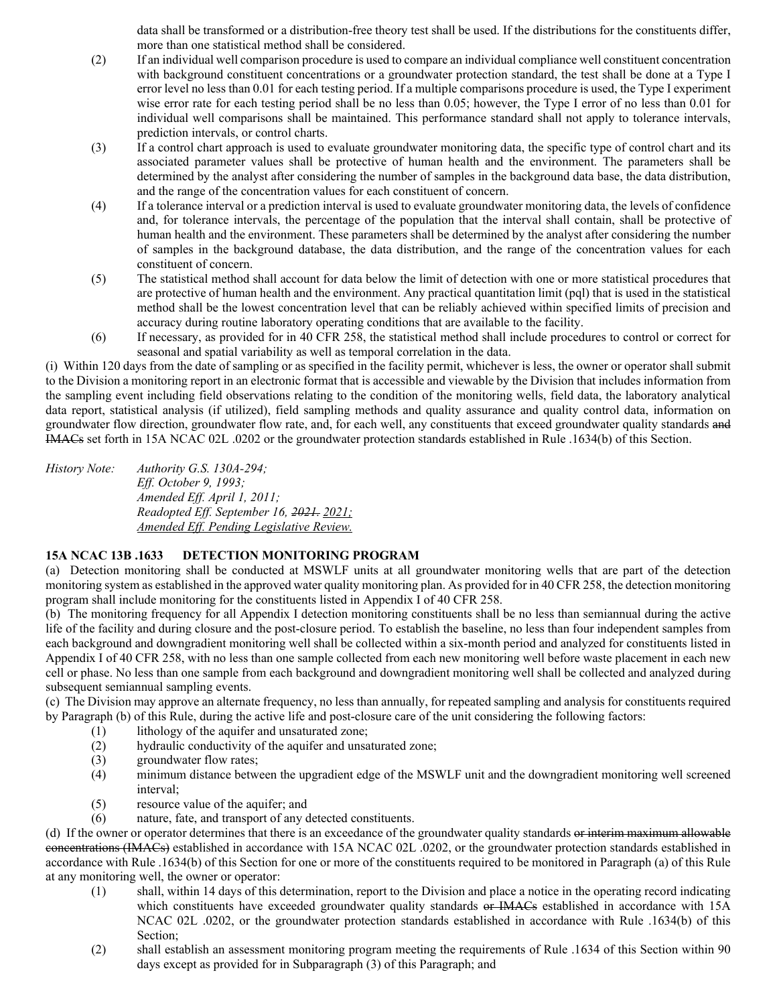data shall be transformed or a distribution-free theory test shall be used. If the distributions for the constituents differ, more than one statistical method shall be considered.

- (2) If an individual well comparison procedure is used to compare an individual compliance well constituent concentration with background constituent concentrations or a groundwater protection standard, the test shall be done at a Type I error level no less than 0.01 for each testing period. If a multiple comparisons procedure is used, the Type I experiment wise error rate for each testing period shall be no less than 0.05; however, the Type I error of no less than 0.01 for individual well comparisons shall be maintained. This performance standard shall not apply to tolerance intervals, prediction intervals, or control charts.
- (3) If a control chart approach is used to evaluate groundwater monitoring data, the specific type of control chart and its associated parameter values shall be protective of human health and the environment. The parameters shall be determined by the analyst after considering the number of samples in the background data base, the data distribution, and the range of the concentration values for each constituent of concern.
- (4) If a tolerance interval or a prediction interval is used to evaluate groundwater monitoring data, the levels of confidence and, for tolerance intervals, the percentage of the population that the interval shall contain, shall be protective of human health and the environment. These parameters shall be determined by the analyst after considering the number of samples in the background database, the data distribution, and the range of the concentration values for each constituent of concern.
- (5) The statistical method shall account for data below the limit of detection with one or more statistical procedures that are protective of human health and the environment. Any practical quantitation limit (pql) that is used in the statistical method shall be the lowest concentration level that can be reliably achieved within specified limits of precision and accuracy during routine laboratory operating conditions that are available to the facility.
- (6) If necessary, as provided for in 40 CFR 258, the statistical method shall include procedures to control or correct for seasonal and spatial variability as well as temporal correlation in the data.

(i) Within 120 days from the date of sampling or as specified in the facility permit, whichever is less, the owner or operator shall submit to the Division a monitoring report in an electronic format that is accessible and viewable by the Division that includes information from the sampling event including field observations relating to the condition of the monitoring wells, field data, the laboratory analytical data report, statistical analysis (if utilized), field sampling methods and quality assurance and quality control data, information on groundwater flow direction, groundwater flow rate, and, for each well, any constituents that exceed groundwater quality standards and IMACs set forth in 15A NCAC 02L .0202 or the groundwater protection standards established in Rule .1634(b) of this Section.

*History Note: Authority G.S. 130A-294; Eff. October 9, 1993; Amended Eff. April 1, 2011; Readopted Eff. September 16, 2021. 2021; Amended Eff. Pending Legislative Review.*

### **15A NCAC 13B .1633 DETECTION MONITORING PROGRAM**

(a) Detection monitoring shall be conducted at MSWLF units at all groundwater monitoring wells that are part of the detection monitoring system as established in the approved water quality monitoring plan. As provided for in 40 CFR 258, the detection monitoring program shall include monitoring for the constituents listed in Appendix I of 40 CFR 258.

(b) The monitoring frequency for all Appendix I detection monitoring constituents shall be no less than semiannual during the active life of the facility and during closure and the post-closure period. To establish the baseline, no less than four independent samples from each background and downgradient monitoring well shall be collected within a six-month period and analyzed for constituents listed in Appendix I of 40 CFR 258, with no less than one sample collected from each new monitoring well before waste placement in each new cell or phase. No less than one sample from each background and downgradient monitoring well shall be collected and analyzed during subsequent semiannual sampling events.

(c) The Division may approve an alternate frequency, no less than annually, for repeated sampling and analysis for constituents required by Paragraph (b) of this Rule, during the active life and post-closure care of the unit considering the following factors:

- (1) lithology of the aquifer and unsaturated zone;
- (2) hydraulic conductivity of the aquifer and unsaturated zone;
- (3) groundwater flow rates;<br>(4) minimum distance betw
- minimum distance between the upgradient edge of the MSWLF unit and the downgradient monitoring well screened interval;
- (5) resource value of the aquifer; and
- (6) nature, fate, and transport of any detected constituents.

(d) If the owner or operator determines that there is an exceedance of the groundwater quality standards or interim maximum allowable concentrations (IMACs) established in accordance with 15A NCAC 02L .0202, or the groundwater protection standards established in accordance with Rule .1634(b) of this Section for one or more of the constituents required to be monitored in Paragraph (a) of this Rule at any monitoring well, the owner or operator:

- (1) shall, within 14 days of this determination, report to the Division and place a notice in the operating record indicating which constituents have exceeded groundwater quality standards or IMACs established in accordance with 15A NCAC 02L .0202, or the groundwater protection standards established in accordance with Rule .1634(b) of this Section;
- (2) shall establish an assessment monitoring program meeting the requirements of Rule .1634 of this Section within 90 days except as provided for in Subparagraph (3) of this Paragraph; and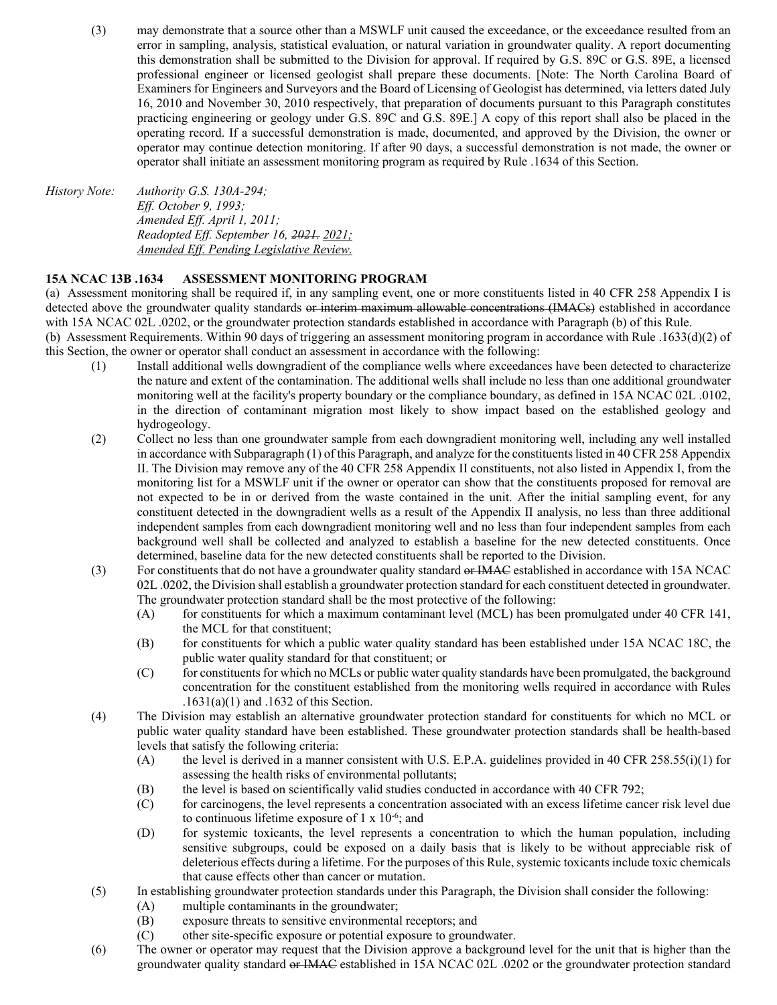(3) may demonstrate that a source other than a MSWLF unit caused the exceedance, or the exceedance resulted from an error in sampling, analysis, statistical evaluation, or natural variation in groundwater quality. A report documenting this demonstration shall be submitted to the Division for approval. If required by G.S. 89C or G.S. 89E, a licensed professional engineer or licensed geologist shall prepare these documents. [Note: The North Carolina Board of Examiners for Engineers and Surveyors and the Board of Licensing of Geologist has determined, via letters dated July 16, 2010 and November 30, 2010 respectively, that preparation of documents pursuant to this Paragraph constitutes practicing engineering or geology under G.S. 89C and G.S. 89E.] A copy of this report shall also be placed in the operating record. If a successful demonstration is made, documented, and approved by the Division, the owner or operator may continue detection monitoring. If after 90 days, a successful demonstration is not made, the owner or operator shall initiate an assessment monitoring program as required by Rule .1634 of this Section.

*History Note: Authority G.S. 130A-294; Eff. October 9, 1993; Amended Eff. April 1, 2011; Readopted Eff. September 16, 2021. 2021; Amended Eff. Pending Legislative Review.*

### **15A NCAC 13B .1634 ASSESSMENT MONITORING PROGRAM**

(a) Assessment monitoring shall be required if, in any sampling event, one or more constituents listed in 40 CFR 258 Appendix I is detected above the groundwater quality standards or interim maximum allowable concentrations (IMACs) established in accordance with 15A NCAC 02L .0202, or the groundwater protection standards established in accordance with Paragraph (b) of this Rule.

(b) Assessment Requirements. Within 90 days of triggering an assessment monitoring program in accordance with Rule .1633(d)(2) of this Section, the owner or operator shall conduct an assessment in accordance with the following:

- (1) Install additional wells downgradient of the compliance wells where exceedances have been detected to characterize the nature and extent of the contamination. The additional wells shall include no less than one additional groundwater monitoring well at the facility's property boundary or the compliance boundary, as defined in 15A NCAC 02L .0102, in the direction of contaminant migration most likely to show impact based on the established geology and hydrogeology.
- (2) Collect no less than one groundwater sample from each downgradient monitoring well, including any well installed in accordance with Subparagraph (1) of this Paragraph, and analyze for the constituents listed in 40 CFR 258 Appendix II. The Division may remove any of the 40 CFR 258 Appendix II constituents, not also listed in Appendix I, from the monitoring list for a MSWLF unit if the owner or operator can show that the constituents proposed for removal are not expected to be in or derived from the waste contained in the unit. After the initial sampling event, for any constituent detected in the downgradient wells as a result of the Appendix II analysis, no less than three additional independent samples from each downgradient monitoring well and no less than four independent samples from each background well shall be collected and analyzed to establish a baseline for the new detected constituents. Once determined, baseline data for the new detected constituents shall be reported to the Division.
- (3) For constituents that do not have a groundwater quality standard or IMAC established in accordance with 15A NCAC 02L .0202, the Division shall establish a groundwater protection standard for each constituent detected in groundwater. The groundwater protection standard shall be the most protective of the following:
	- (A) for constituents for which a maximum contaminant level (MCL) has been promulgated under 40 CFR 141, the MCL for that constituent;
	- (B) for constituents for which a public water quality standard has been established under 15A NCAC 18C, the public water quality standard for that constituent; or
	- (C) for constituents for which no MCLs or public water quality standards have been promulgated, the background concentration for the constituent established from the monitoring wells required in accordance with Rules .1631(a)(1) and .1632 of this Section.
- (4) The Division may establish an alternative groundwater protection standard for constituents for which no MCL or public water quality standard have been established. These groundwater protection standards shall be health-based levels that satisfy the following criteria:
	- (A) the level is derived in a manner consistent with U.S. E.P.A. guidelines provided in 40 CFR 258.55(i)(1) for assessing the health risks of environmental pollutants;
	- (B) the level is based on scientifically valid studies conducted in accordance with 40 CFR 792;
	- (C) for carcinogens, the level represents a concentration associated with an excess lifetime cancer risk level due to continuous lifetime exposure of  $1 \times 10^{-6}$ ; and
	- (D) for systemic toxicants, the level represents a concentration to which the human population, including sensitive subgroups, could be exposed on a daily basis that is likely to be without appreciable risk of deleterious effects during a lifetime. For the purposes of this Rule, systemic toxicants include toxic chemicals that cause effects other than cancer or mutation.
- (5) In establishing groundwater protection standards under this Paragraph, the Division shall consider the following:
	- multiple contaminants in the groundwater;
	- (B) exposure threats to sensitive environmental receptors; and
	- (C) other site-specific exposure or potential exposure to groundwater.
- (6) The owner or operator may request that the Division approve a background level for the unit that is higher than the groundwater quality standard or IMAC established in 15A NCAC 02L .0202 or the groundwater protection standard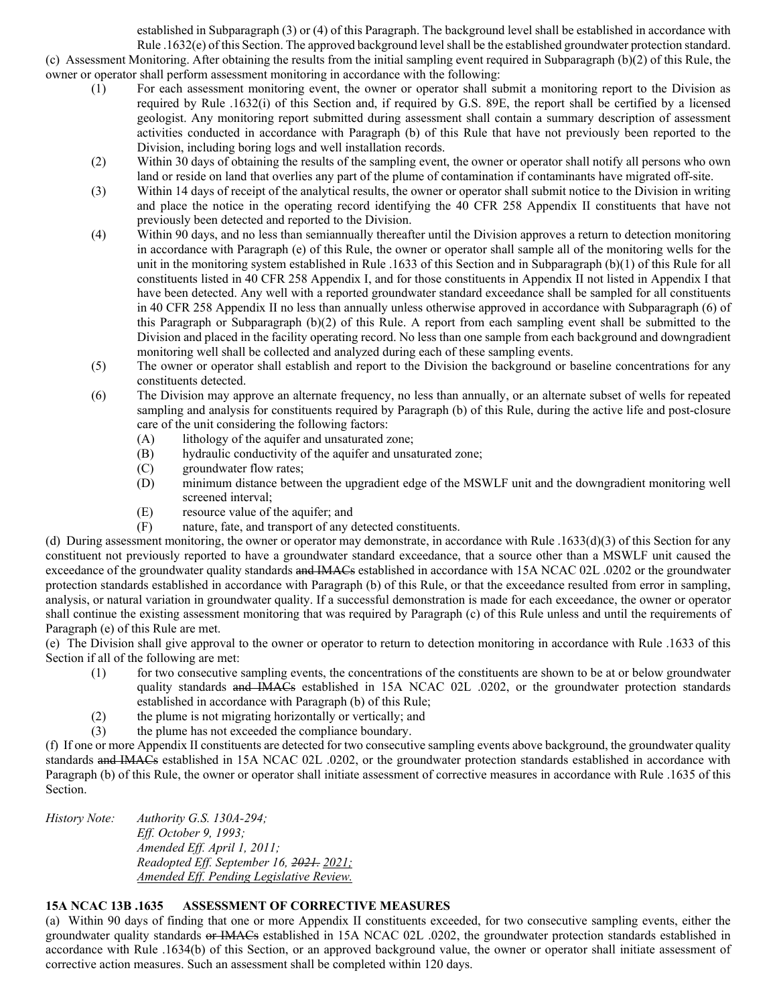established in Subparagraph (3) or (4) of this Paragraph. The background level shall be established in accordance with Rule .1632(e) of this Section. The approved background level shall be the established groundwater protection standard. (c) Assessment Monitoring. After obtaining the results from the initial sampling event required in Subparagraph (b)(2) of this Rule, the owner or operator shall perform assessment monitoring in accordance with the following:

- (1) For each assessment monitoring event, the owner or operator shall submit a monitoring report to the Division as required by Rule .1632(i) of this Section and, if required by G.S. 89E, the report shall be certified by a licensed geologist. Any monitoring report submitted during assessment shall contain a summary description of assessment activities conducted in accordance with Paragraph (b) of this Rule that have not previously been reported to the Division, including boring logs and well installation records.
- (2) Within 30 days of obtaining the results of the sampling event, the owner or operator shall notify all persons who own land or reside on land that overlies any part of the plume of contamination if contaminants have migrated off-site.
- (3) Within 14 days of receipt of the analytical results, the owner or operator shall submit notice to the Division in writing and place the notice in the operating record identifying the 40 CFR 258 Appendix II constituents that have not previously been detected and reported to the Division.
- (4) Within 90 days, and no less than semiannually thereafter until the Division approves a return to detection monitoring in accordance with Paragraph (e) of this Rule, the owner or operator shall sample all of the monitoring wells for the unit in the monitoring system established in Rule .1633 of this Section and in Subparagraph (b)(1) of this Rule for all constituents listed in 40 CFR 258 Appendix I, and for those constituents in Appendix II not listed in Appendix I that have been detected. Any well with a reported groundwater standard exceedance shall be sampled for all constituents in 40 CFR 258 Appendix II no less than annually unless otherwise approved in accordance with Subparagraph (6) of this Paragraph or Subparagraph (b)(2) of this Rule. A report from each sampling event shall be submitted to the Division and placed in the facility operating record. No less than one sample from each background and downgradient monitoring well shall be collected and analyzed during each of these sampling events.
- (5) The owner or operator shall establish and report to the Division the background or baseline concentrations for any constituents detected.
- (6) The Division may approve an alternate frequency, no less than annually, or an alternate subset of wells for repeated sampling and analysis for constituents required by Paragraph (b) of this Rule, during the active life and post-closure care of the unit considering the following factors:
	- (A) lithology of the aquifer and unsaturated zone;
	- (B) hydraulic conductivity of the aquifer and unsaturated zone;
	- (C) groundwater flow rates;
	- (D) minimum distance between the upgradient edge of the MSWLF unit and the downgradient monitoring well screened interval;
	- (E) resource value of the aquifer; and
	- (F) nature, fate, and transport of any detected constituents.

(d) During assessment monitoring, the owner or operator may demonstrate, in accordance with Rule .1633(d)(3) of this Section for any constituent not previously reported to have a groundwater standard exceedance, that a source other than a MSWLF unit caused the exceedance of the groundwater quality standards and IMACs established in accordance with 15A NCAC 02L .0202 or the groundwater protection standards established in accordance with Paragraph (b) of this Rule, or that the exceedance resulted from error in sampling, analysis, or natural variation in groundwater quality. If a successful demonstration is made for each exceedance, the owner or operator shall continue the existing assessment monitoring that was required by Paragraph (c) of this Rule unless and until the requirements of Paragraph (e) of this Rule are met.

(e) The Division shall give approval to the owner or operator to return to detection monitoring in accordance with Rule .1633 of this Section if all of the following are met:

- (1) for two consecutive sampling events, the concentrations of the constituents are shown to be at or below groundwater quality standards and IMACs established in 15A NCAC 02L .0202, or the groundwater protection standards established in accordance with Paragraph (b) of this Rule;
- (2) the plume is not migrating horizontally or vertically; and  $(3)$  the plume has not exceeded the compliance boundary.
- the plume has not exceeded the compliance boundary.

(f) If one or more Appendix II constituents are detected for two consecutive sampling events above background, the groundwater quality standards and IMACs established in 15A NCAC 02L .0202, or the groundwater protection standards established in accordance with Paragraph (b) of this Rule, the owner or operator shall initiate assessment of corrective measures in accordance with Rule .1635 of this Section.

| History Note: | Authority G.S. $130A-294$ ;              |
|---------------|------------------------------------------|
|               | <i>Eff. October 9, 1993;</i>             |
|               | Amended Eff. April 1, 2011;              |
|               | Readopted Eff. September 16, 2021, 2021; |
|               | Amended Eff. Pending Legislative Review. |
|               |                                          |

# **15A NCAC 13B .1635 ASSESSMENT OF CORRECTIVE MEASURES**

(a) Within 90 days of finding that one or more Appendix II constituents exceeded, for two consecutive sampling events, either the groundwater quality standards or IMACs established in 15A NCAC 02L .0202, the groundwater protection standards established in accordance with Rule .1634(b) of this Section, or an approved background value, the owner or operator shall initiate assessment of corrective action measures. Such an assessment shall be completed within 120 days.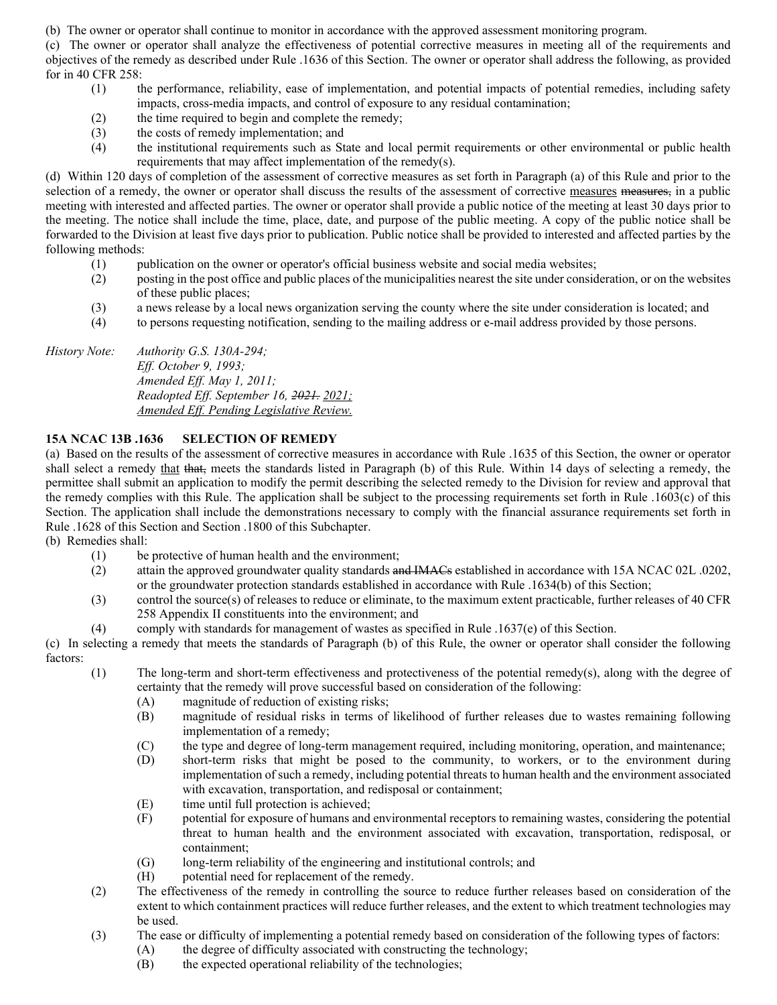(b) The owner or operator shall continue to monitor in accordance with the approved assessment monitoring program.

(c) The owner or operator shall analyze the effectiveness of potential corrective measures in meeting all of the requirements and objectives of the remedy as described under Rule .1636 of this Section. The owner or operator shall address the following, as provided for in 40 CFR 258:

- (1) the performance, reliability, ease of implementation, and potential impacts of potential remedies, including safety impacts, cross-media impacts, and control of exposure to any residual contamination;
- (2) the time required to begin and complete the remedy;
- (3) the costs of remedy implementation; and
- (4) the institutional requirements such as State and local permit requirements or other environmental or public health requirements that may affect implementation of the remedy(s).

(d) Within 120 days of completion of the assessment of corrective measures as set forth in Paragraph (a) of this Rule and prior to the selection of a remedy, the owner or operator shall discuss the results of the assessment of corrective measures measures, in a public meeting with interested and affected parties. The owner or operator shall provide a public notice of the meeting at least 30 days prior to the meeting. The notice shall include the time, place, date, and purpose of the public meeting. A copy of the public notice shall be forwarded to the Division at least five days prior to publication. Public notice shall be provided to interested and affected parties by the following methods:

- (1) publication on the owner or operator's official business website and social media websites;
- (2) posting in the post office and public places of the municipalities nearest the site under consideration, or on the websites of these public places;
- (3) a news release by a local news organization serving the county where the site under consideration is located; and
- (4) to persons requesting notification, sending to the mailing address or e-mail address provided by those persons.

*History Note: Authority G.S. 130A-294; Eff. October 9, 1993; Amended Eff. May 1, 2011; Readopted Eff. September 16, 2021. 2021; Amended Eff. Pending Legislative Review.*

### **15A NCAC 13B .1636 SELECTION OF REMEDY**

(a) Based on the results of the assessment of corrective measures in accordance with Rule .1635 of this Section, the owner or operator shall select a remedy that that, meets the standards listed in Paragraph (b) of this Rule. Within 14 days of selecting a remedy, the permittee shall submit an application to modify the permit describing the selected remedy to the Division for review and approval that the remedy complies with this Rule. The application shall be subject to the processing requirements set forth in Rule .1603(c) of this Section. The application shall include the demonstrations necessary to comply with the financial assurance requirements set forth in Rule .1628 of this Section and Section .1800 of this Subchapter.

(b) Remedies shall:

- (1) be protective of human health and the environment;
- (2) attain the approved groundwater quality standards and IMACs established in accordance with 15A NCAC 02L .0202, or the groundwater protection standards established in accordance with Rule .1634(b) of this Section;
- (3) control the source(s) of releases to reduce or eliminate, to the maximum extent practicable, further releases of 40 CFR 258 Appendix II constituents into the environment; and

(4) comply with standards for management of wastes as specified in Rule .1637(e) of this Section.

(c) In selecting a remedy that meets the standards of Paragraph (b) of this Rule, the owner or operator shall consider the following factors:

- (1) The long-term and short-term effectiveness and protectiveness of the potential remedy(s), along with the degree of certainty that the remedy will prove successful based on consideration of the following:
	- (A) magnitude of reduction of existing risks;
	- (B) magnitude of residual risks in terms of likelihood of further releases due to wastes remaining following implementation of a remedy;
	- (C) the type and degree of long-term management required, including monitoring, operation, and maintenance;
		- (D) short-term risks that might be posed to the community, to workers, or to the environment during implementation of such a remedy, including potential threats to human health and the environment associated with excavation, transportation, and redisposal or containment;
		- (E) time until full protection is achieved;
	- (F) potential for exposure of humans and environmental receptors to remaining wastes, considering the potential threat to human health and the environment associated with excavation, transportation, redisposal, or containment;
	- (G) long-term reliability of the engineering and institutional controls; and
	- (H) potential need for replacement of the remedy.
- (2) The effectiveness of the remedy in controlling the source to reduce further releases based on consideration of the extent to which containment practices will reduce further releases, and the extent to which treatment technologies may be used.
- (3) The ease or difficulty of implementing a potential remedy based on consideration of the following types of factors:
	- (A) the degree of difficulty associated with constructing the technology;
	- (B) the expected operational reliability of the technologies;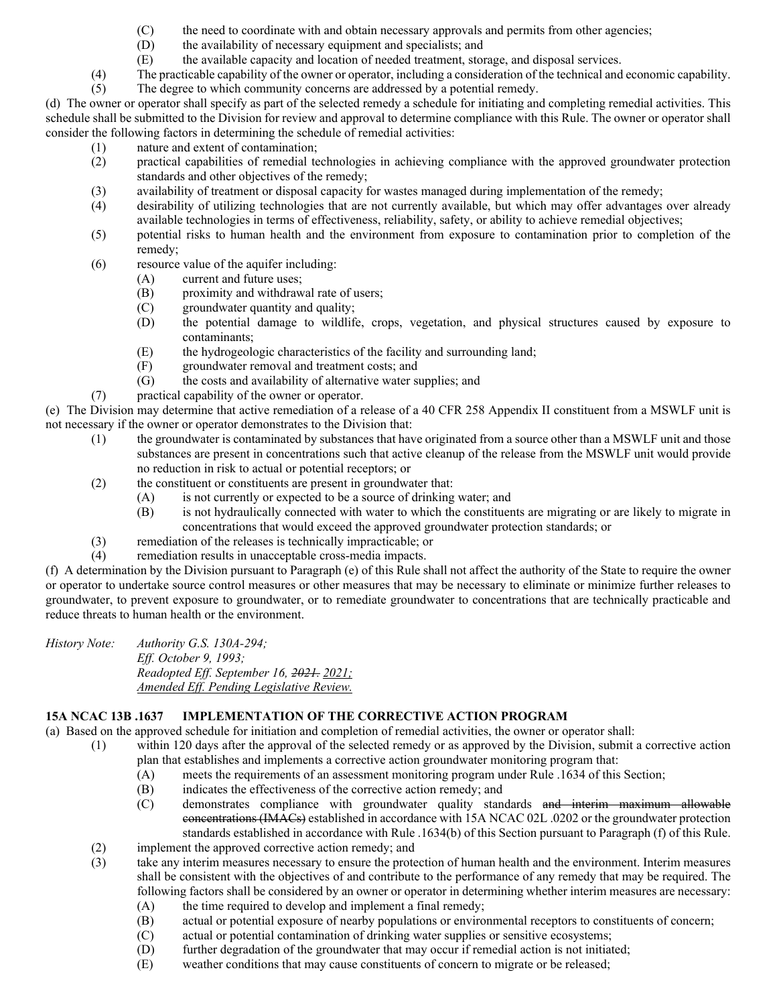- (C) the need to coordinate with and obtain necessary approvals and permits from other agencies;
- (D) the availability of necessary equipment and specialists; and
- (E) the available capacity and location of needed treatment, storage, and disposal services.
- (4) The practicable capability of the owner or operator, including a consideration of the technical and economic capability.

(5) The degree to which community concerns are addressed by a potential remedy.

(d) The owner or operator shall specify as part of the selected remedy a schedule for initiating and completing remedial activities. This schedule shall be submitted to the Division for review and approval to determine compliance with this Rule. The owner or operator shall consider the following factors in determining the schedule of remedial activities:

- (1) nature and extent of contamination;
- (2) practical capabilities of remedial technologies in achieving compliance with the approved groundwater protection standards and other objectives of the remedy;
- (3) availability of treatment or disposal capacity for wastes managed during implementation of the remedy;<br>(4) desirability of utilizing technologies that are not currently available, but which may offer advantages
- desirability of utilizing technologies that are not currently available, but which may offer advantages over already available technologies in terms of effectiveness, reliability, safety, or ability to achieve remedial objectives;
- (5) potential risks to human health and the environment from exposure to contamination prior to completion of the remedy;
- (6) resource value of the aquifer including:
	- (A) current and future uses;<br>(B) proximity and withdraw
	- proximity and withdrawal rate of users;
	- (C) groundwater quantity and quality;
	- (D) the potential damage to wildlife, crops, vegetation, and physical structures caused by exposure to contaminants;
	- (E) the hydrogeologic characteristics of the facility and surrounding land;
	- $(F)$  groundwater removal and treatment costs; and  $(G)$  the costs and availability of alternative water so
	- the costs and availability of alternative water supplies; and
- (7) practical capability of the owner or operator.

(e) The Division may determine that active remediation of a release of a 40 CFR 258 Appendix II constituent from a MSWLF unit is not necessary if the owner or operator demonstrates to the Division that:

- (1) the groundwater is contaminated by substances that have originated from a source other than a MSWLF unit and those substances are present in concentrations such that active cleanup of the release from the MSWLF unit would provide no reduction in risk to actual or potential receptors; or
- (2) the constituent or constituents are present in groundwater that:
	- (A) is not currently or expected to be a source of drinking water; and
	- (B) is not hydraulically connected with water to which the constituents are migrating or are likely to migrate in concentrations that would exceed the approved groundwater protection standards; or
- (3) remediation of the releases is technically impracticable; or
- (4) remediation results in unacceptable cross-media impacts.

(f) A determination by the Division pursuant to Paragraph (e) of this Rule shall not affect the authority of the State to require the owner or operator to undertake source control measures or other measures that may be necessary to eliminate or minimize further releases to groundwater, to prevent exposure to groundwater, or to remediate groundwater to concentrations that are technically practicable and reduce threats to human health or the environment.

*History Note: Authority G.S. 130A-294; Eff. October 9, 1993; Readopted Eff. September 16, 2021. 2021; Amended Eff. Pending Legislative Review.*

# **15A NCAC 13B .1637 IMPLEMENTATION OF THE CORRECTIVE ACTION PROGRAM**

(a) Based on the approved schedule for initiation and completion of remedial activities, the owner or operator shall:

- (1) within 120 days after the approval of the selected remedy or as approved by the Division, submit a corrective action plan that establishes and implements a corrective action groundwater monitoring program that:
	- (A) meets the requirements of an assessment monitoring program under Rule .1634 of this Section;
	- (B) indicates the effectiveness of the corrective action remedy; and
	- (C) demonstrates compliance with groundwater quality standards and interim maximum allowable concentrations (IMACs) established in accordance with 15A NCAC 02L .0202 or the groundwater protection standards established in accordance with Rule .1634(b) of this Section pursuant to Paragraph (f) of this Rule.
- (2) implement the approved corrective action remedy; and <br>(3) take any interim measures necessary to ensure the prote
- take any interim measures necessary to ensure the protection of human health and the environment. Interim measures shall be consistent with the objectives of and contribute to the performance of any remedy that may be required. The following factors shall be considered by an owner or operator in determining whether interim measures are necessary:
	- (A) the time required to develop and implement a final remedy;
	- (B) actual or potential exposure of nearby populations or environmental receptors to constituents of concern;
	- (C) actual or potential contamination of drinking water supplies or sensitive ecosystems;<br>(D) further degradation of the groundwater that may occur if remedial action is not initiat
	- further degradation of the groundwater that may occur if remedial action is not initiated;
	- (E) weather conditions that may cause constituents of concern to migrate or be released;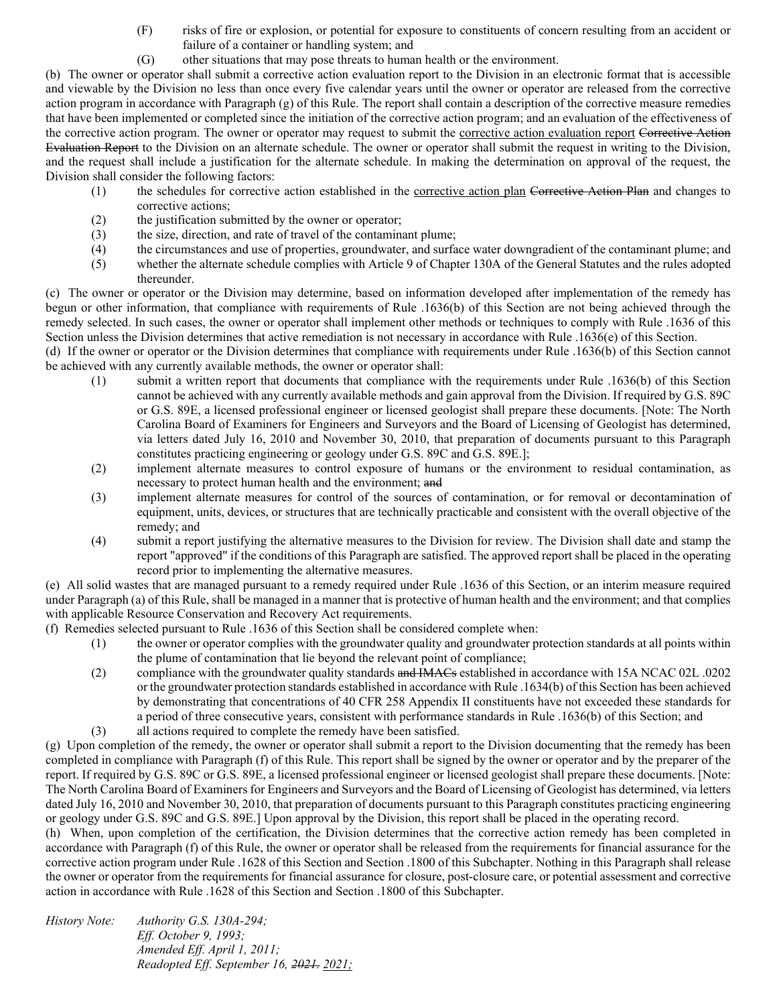- (F) risks of fire or explosion, or potential for exposure to constituents of concern resulting from an accident or failure of a container or handling system; and
- (G) other situations that may pose threats to human health or the environment.

(b) The owner or operator shall submit a corrective action evaluation report to the Division in an electronic format that is accessible and viewable by the Division no less than once every five calendar years until the owner or operator are released from the corrective action program in accordance with Paragraph (g) of this Rule. The report shall contain a description of the corrective measure remedies that have been implemented or completed since the initiation of the corrective action program; and an evaluation of the effectiveness of the corrective action program. The owner or operator may request to submit the corrective action evaluation report Corrective Action Evaluation Report to the Division on an alternate schedule. The owner or operator shall submit the request in writing to the Division, and the request shall include a justification for the alternate schedule. In making the determination on approval of the request, the Division shall consider the following factors:

- (1) the schedules for corrective action established in the corrective action plan Corrective Action Plan and changes to corrective actions;
- (2) the justification submitted by the owner or operator;
- (3) the size, direction, and rate of travel of the contaminant plume;
- (4) the circumstances and use of properties, groundwater, and surface water downgradient of the contaminant plume; and
- (5) whether the alternate schedule complies with Article 9 of Chapter 130A of the General Statutes and the rules adopted thereunder.

(c) The owner or operator or the Division may determine, based on information developed after implementation of the remedy has begun or other information, that compliance with requirements of Rule .1636(b) of this Section are not being achieved through the remedy selected. In such cases, the owner or operator shall implement other methods or techniques to comply with Rule .1636 of this Section unless the Division determines that active remediation is not necessary in accordance with Rule .1636(e) of this Section.

(d) If the owner or operator or the Division determines that compliance with requirements under Rule .1636(b) of this Section cannot be achieved with any currently available methods, the owner or operator shall:

- (1) submit a written report that documents that compliance with the requirements under Rule .1636(b) of this Section cannot be achieved with any currently available methods and gain approval from the Division. If required by G.S. 89C or G.S. 89E, a licensed professional engineer or licensed geologist shall prepare these documents. [Note: The North Carolina Board of Examiners for Engineers and Surveyors and the Board of Licensing of Geologist has determined, via letters dated July 16, 2010 and November 30, 2010, that preparation of documents pursuant to this Paragraph constitutes practicing engineering or geology under G.S. 89C and G.S. 89E.];
- (2) implement alternate measures to control exposure of humans or the environment to residual contamination, as necessary to protect human health and the environment; and
- (3) implement alternate measures for control of the sources of contamination, or for removal or decontamination of equipment, units, devices, or structures that are technically practicable and consistent with the overall objective of the remedy; and
- (4) submit a report justifying the alternative measures to the Division for review. The Division shall date and stamp the report "approved" if the conditions of this Paragraph are satisfied. The approved report shall be placed in the operating record prior to implementing the alternative measures.

(e) All solid wastes that are managed pursuant to a remedy required under Rule .1636 of this Section, or an interim measure required under Paragraph (a) of this Rule, shall be managed in a manner that is protective of human health and the environment; and that complies with applicable Resource Conservation and Recovery Act requirements.

(f) Remedies selected pursuant to Rule .1636 of this Section shall be considered complete when:

- (1) the owner or operator complies with the groundwater quality and groundwater protection standards at all points within the plume of contamination that lie beyond the relevant point of compliance;
- (2) compliance with the groundwater quality standards and IMACs established in accordance with 15A NCAC 02L .0202 or the groundwater protection standards established in accordance with Rule .1634(b) of this Section has been achieved by demonstrating that concentrations of 40 CFR 258 Appendix II constituents have not exceeded these standards for a period of three consecutive years, consistent with performance standards in Rule .1636(b) of this Section; and
- (3) all actions required to complete the remedy have been satisfied.

(g) Upon completion of the remedy, the owner or operator shall submit a report to the Division documenting that the remedy has been completed in compliance with Paragraph (f) of this Rule. This report shall be signed by the owner or operator and by the preparer of the report. If required by G.S. 89C or G.S. 89E, a licensed professional engineer or licensed geologist shall prepare these documents. [Note: The North Carolina Board of Examiners for Engineers and Surveyors and the Board of Licensing of Geologist has determined, via letters dated July 16, 2010 and November 30, 2010, that preparation of documents pursuant to this Paragraph constitutes practicing engineering or geology under G.S. 89C and G.S. 89E.] Upon approval by the Division, this report shall be placed in the operating record.

(h) When, upon completion of the certification, the Division determines that the corrective action remedy has been completed in accordance with Paragraph (f) of this Rule, the owner or operator shall be released from the requirements for financial assurance for the corrective action program under Rule .1628 of this Section and Section .1800 of this Subchapter. Nothing in this Paragraph shall release the owner or operator from the requirements for financial assurance for closure, post-closure care, or potential assessment and corrective action in accordance with Rule .1628 of this Section and Section .1800 of this Subchapter.

*History Note: Authority G.S. 130A-294; Eff. October 9, 1993; Amended Eff. April 1, 2011; Readopted Eff. September 16, 2021. 2021;*